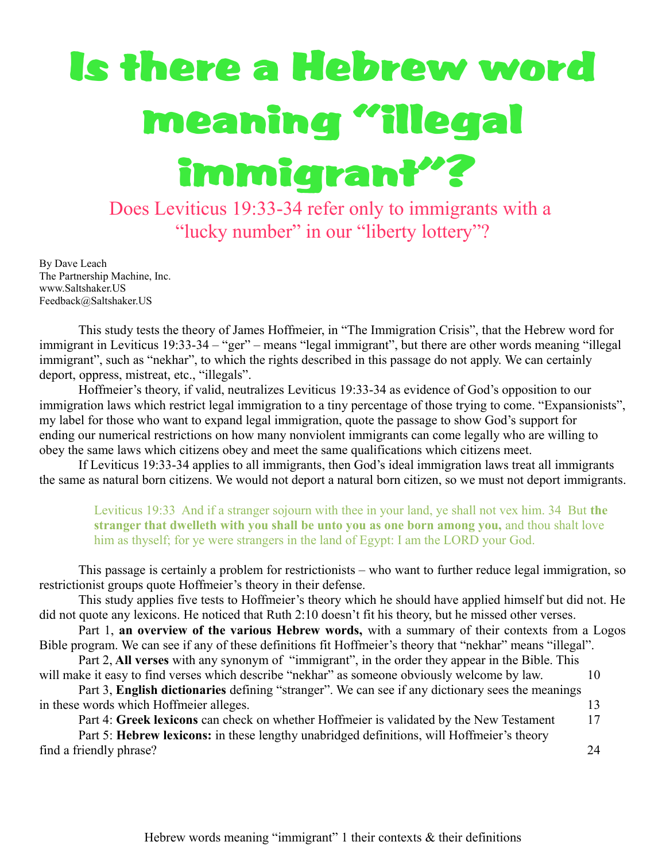# Is there a Hebrew word meaning "illegal immigrant"?

Does Leviticus 19:33-34 refer only to immigrants with a "lucky number" in our "liberty lottery"?

By Dave Leach The Partnership Machine, Inc. www.Saltshaker.US Feedback@Saltshaker.US

This study tests the theory of James Hoffmeier, in "The Immigration Crisis", that the Hebrew word for immigrant in Leviticus 19:33-34 – "ger" – means "legal immigrant", but there are other words meaning "illegal immigrant", such as "nekhar", to which the rights described in this passage do not apply. We can certainly deport, oppress, mistreat, etc., "illegals".

Hoffmeier's theory, if valid, neutralizes Leviticus 19:33-34 as evidence of God's opposition to our immigration laws which restrict legal immigration to a tiny percentage of those trying to come. "Expansionists", my label for those who want to expand legal immigration, quote the passage to show God's support for ending our numerical restrictions on how many nonviolent immigrants can come legally who are willing to obey the same laws which citizens obey and meet the same qualifications which citizens meet.

If Leviticus 19:33-34 applies to all immigrants, then God's ideal immigration laws treat all immigrants the same as natural born citizens. We would not deport a natural born citizen, so we must not deport immigrants.

Leviticus 19:33 And if a stranger sojourn with thee in your land, ye shall not vex him. 34 But **the stranger that dwelleth with you shall be unto you as one born among you,** and thou shalt love him as thyself; for ye were strangers in the land of Egypt: I am the LORD your God.

This passage is certainly a problem for restrictionists – who want to further reduce legal immigration, so restrictionist groups quote Hoffmeier's theory in their defense.

This study applies five tests to Hoffmeier's theory which he should have applied himself but did not. He did not quote any lexicons. He noticed that Ruth 2:10 doesn't fit his theory, but he missed other verses.

Part 1, **an overview of the various Hebrew words,** with a summary of their contexts from a Logos Bible program. We can see if any of these definitions fit Hoffmeier's theory that "nekhar" means "illegal".

Part 2, **All verses** with any synonym of "immigrant", in the order they appear in the Bible. This will make it easy to find verses which describe "nekhar" as someone obviously welcome by law. 10

Part 3, **English dictionaries** defining "stranger". We can see if any dictionary sees the meanings in these words which Hoffmeier alleges. 13

| Part 4: Greek lexicons can check on whether Hoffmeier is validated by the New Testament |  |
|-----------------------------------------------------------------------------------------|--|
|-----------------------------------------------------------------------------------------|--|

Part 5: **Hebrew lexicons:** in these lengthy unabridged definitions, will Hoffmeier's theory find a friendly phrase? 24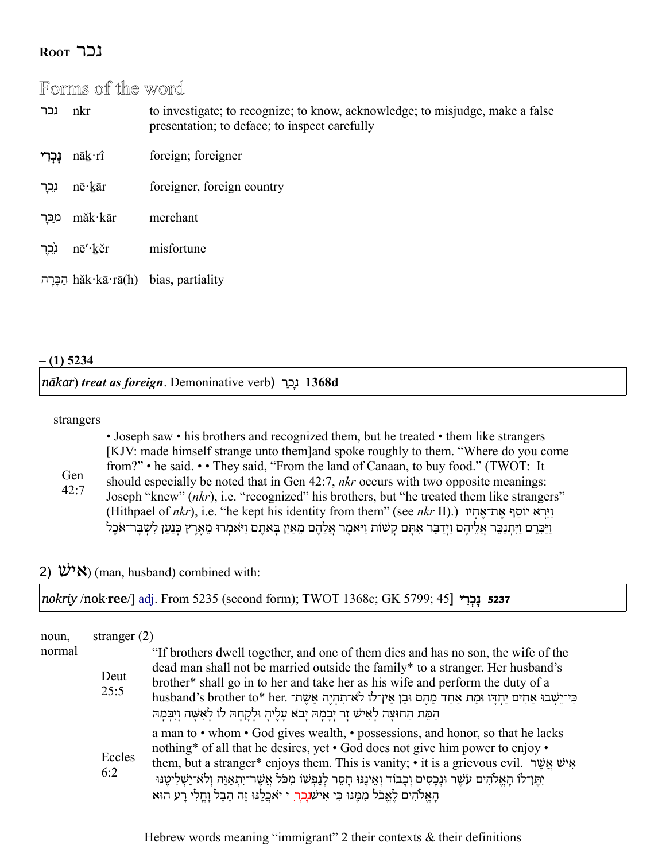# נכר**<sup>R</sup>OOT**

# Forms of the word

- נכר nkr to investigate; to recognize; to know, acknowledge; to misjudge, make a false presentation; to deface; to inspect carefully
- foreign; foreigner<br>foreigner<br>**i**
- כככרָנ nē·ḵār foreigner, foreign country
- כככרָמ mǎk·kār merchant
- misfortune ḵěrʹ·nē נָכככרר
- ה רכ ככ כָה hǎk·kā·rā(h) bias, partiality

# **– (1) 5234**

# *nākar*) *treat as foreign*. Demoninative verb) כרָנככ **1368d**

## strangers

Gen 42:7 • Joseph saw • his brothers and recognized them, but he treated • them like strangers [KJV: made himself strange unto them]and spoke roughly to them. "Where do you come from?" • he said. • • They said, "From the land of Canaan, to buy food." (TWOT: It should especially be noted that in Gen 42:7, *nkr* occurs with two opposite meanings: Joseph "knew" (*nkr*), i.e. "recognized" his brothers, but "he treated them like strangers"  $(Hithpael of *nkr*), i.e. "he kept his identity from them" (see *nkr* II).)$  וירא יוסף את־אחיו

<span id="page-1-0"></span>ויכּרם ויתנכּר אליהם וידבּר אתם קשות ויֹאמר אלהם מאין באתם ויֹאמרוּ מארץ כּנען לשבּר־אֹכל

# 2) (man, husband) combined with:

*nokriy* /nok·**ree**/] [adj.](#page-13-0) From 5235 (second form); TWOT 1368c; GK 5799; 45] י רי כר נכ..5237

| noun,  | stranger $(2)$ |                                                                                                                                                                                                                                                                                                                                                                                                                                                                                 |
|--------|----------------|---------------------------------------------------------------------------------------------------------------------------------------------------------------------------------------------------------------------------------------------------------------------------------------------------------------------------------------------------------------------------------------------------------------------------------------------------------------------------------|
| normal | Deut<br>25:5   | "If brothers dwell together, and one of them dies and has no son, the wife of the<br>dead man shall not be married outside the family* to a stranger. Her husband's<br>brother* shall go in to her and take her as his wife and perform the duty of a<br>husband's brother to* her. מֶהֵם וּבֵן אֵין־לוֹ לֹא־תְהְיֵה אֲשֶׁת־husband's brother to* her.<br>הַמֵּת הַחוּצָה לְאִישׁ זָר יִבָמָהּ יָבֹא עָלֶיהָ וּלְקָחָהּ לוֹ לְאִשָּׁה וְיִבְּמָהּ                               |
|        | Eccles<br>6:2  | a man to • whom • God gives wealth, • possessions, and honor, so that he lacks<br>nothing* of all that he desires, yet • God does not give him power to enjoy •<br>them, but a stranger* enjoys them. This is vanity; • it is a grievous evil. איש אֲשֶׁר<br>יִתֵּן־לוֹ הָאֱלֹהִים עֹשֶׁר וּנְכָסִים וִכָבוֹד וְאֵינֵנּוּ חַסֵר לְנַפְשׁוֹ מִכֹּל אֲשֵׁר־יִתְאַוֵּה וְלֹא־ישַׁלִיטֵנּוּ<br>האֱלֹהִים לֵאֱכֹל מִמֶּנּוּ כִּי אִישׁנַכֵר י יֹאבְלֵנּוּ זֶה הֻבָל וַחֲלִי רַע הוּא |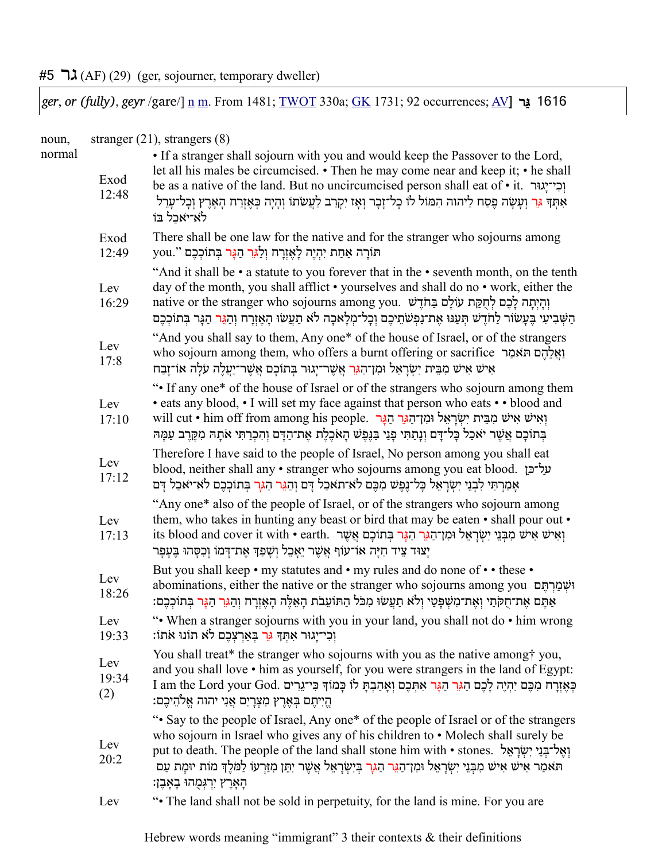$#5$  גר) (29) (ger, sojourner, temporary dweller)

<span id="page-2-4"></span><span id="page-2-3"></span><span id="page-2-2"></span>

| noun,  |                     | stranger $(21)$ , strangers $(8)$                                                                                                                                                                                                                                                                                                                                                                                                       |
|--------|---------------------|-----------------------------------------------------------------------------------------------------------------------------------------------------------------------------------------------------------------------------------------------------------------------------------------------------------------------------------------------------------------------------------------------------------------------------------------|
| normal | Exod<br>12:48       | • If a stranger shall sojourn with you and would keep the Passover to the Lord,<br>let all his males be circumcised. • Then he may come near and keep it; • he shall<br>be as a native of the land. But no uncircumcised person shall eat of • it. וְבִי־יָגוּר<br>אִתִּךְ גַּרְ וְעָשָׂה פֵסַח לַיהוה הִמּוֹל לוֹ כָל־זָכָר וְאָז יִקְרַב לַעֲשׂתוֹ וְהָיָה כְּאֵזְרַח הָאָרֵץ וְכָל־עָרֵל<br>לא־יאכל בוֹ                              |
|        | Exod<br>12:49       | There shall be one law for the native and for the stranger who sojourns among<br>חִוֹרָה אַחַת יִהְיֶה לָאֶזְרָח וְלַגְּרָ הַגָּר בְּתוֹכְכֶם ''.you                                                                                                                                                                                                                                                                                    |
|        | Lev<br>16:29        | "And it shall be • a statute to you forever that in the • seventh month, on the tenth<br>day of the month, you shall afflict • yourselves and shall do no • work, either the<br>native or the stranger who sojourns among you. וְהָיְתָה לְכֶם לְחֻקַּת עוֹלָם בַּחֹדֶשׁ<br>הַשְּׁבִיעִי בֶּעֲשׂוֹר לַחֹדֶשׁ תְּעַנּוּ אֶת־נַפְשֹׁתֵיכֶם וְכָל־מְלָאכָה לֹא תַעֲשׂוּ הָאֶזְרָח וְהַגֵּר הַגָּר בְּתוֹכְכֶם                              |
|        | Lev<br>17:8         | "And you shall say to them, Any one* of the house of Israel, or of the strangers<br>who sojourn among them, who offers a burnt offering or sacrifice וַאֲלֵהֶם תּאמַר<br>אִישׁ אִישׁ מְבֵית יִשְׂרָאֵל וּמִן־הַגְּךָ אֲשֶׁר־יָגוּר בְּתוֹכָם אֲשֶׁר־יַעֲלֶה עֹלָה אוֹ־זָבַח                                                                                                                                                             |
|        | Lev<br>17:10        | "• If any one* of the house of Israel or of the strangers who sojourn among them<br>• eats any blood, • I will set my face against that person who eats • • blood and<br>will cut • him off from among his people. וְאִישׁ אִישׁ מִבֵּית יִשְׂרָאֵל וּמִן־הַגֵּר הַגָּר<br>בְּתוֹכָם אֲשֶׁר יֹאמַל כָּל־דָּם וְנָתַתִּי פָּנֵי בַּגֶּפֶשׁ הָאֹכֶלֶת אֶת־הַדָּם וְהִכְרַתִּי אֹתָהּ מִקֶּרֶב עַמָּה                                      |
|        | Lev<br>17:12        | Therefore I have said to the people of Israel, No person among you shall eat<br>blood, neither shall any • stranger who sojourns among you eat blood. עַל־כֵן<br>אָמַרְתִּי לִבְנֵי יִשְׂרָאֵל כָּל־נֶפֶשׁ מִכֶּם לֹא־תאכַל דָּם וְהַגֵּר הַגַּרָ בְּתוֹכְכֶם לֹא־יֹאכַל דָּם                                                                                                                                                           |
|        | Lev<br>17:13        | "Any one* also of the people of Israel, or of the strangers who sojourn among<br>them, who takes in hunting any beast or bird that may be eaten • shall pour out •<br>its blood and cover it with • earth. וְאִישׁ אִישׁ מִבְּנֵי יִשְׂרָאֵל וּמִן־הַגְּרַ הַגְּר בְּתוֹכָם אֲשֶׁר<br>יָצוּד צִיד חַיָּה אוֹ־עוֹף אֲשֶׁר יֵאָֽכֵל וְשָׁפַדְּ אֶת־דָּמוֹ וְכִסְּהוּ בֶּעָפָר                                                             |
|        | Lev<br>18:26        | But you shall keep • my statutes and • my rules and do none of • • these •<br>abominations, either the native or the stranger who sojourns among you ושמרתם<br>אַתֵּם אֵת־חֻקֹּתַי וְאֵת־מִשְׁפַּטַי וְלֹא תַעֲשׂוּ מִכֹּל הַתּוֹעֵבֹת הָאֵלֶּה הָאֵזְרָח וְהַגִּרְ הַגָּר בְתוֹכְכֵם:                                                                                                                                                  |
|        | Lev<br>19:33        | ". When a stranger sojourns with you in your land, you shall not do . him wrong<br>וְכִי־יָגוּר אִתְךָ גַּרְ בְּאַרְצְכֶם לֹא תוֹנוּ אֹתוֹ:                                                                                                                                                                                                                                                                                             |
|        | Lev<br>19:34<br>(2) | You shall treat* the stranger who sojourns with you as the native among† you,<br>and you shall love • him as yourself, for you were strangers in the land of Egypt:<br>וּ I am the Lord your God. בְּצֶזְרָח מִכֶּם יִהְיֶה לְבֶם הַגֵּר הַגְּר אִתְכֶם וְאָהַבְתְּ לוֹ כְּמוֹךָ כִּי־גֵרִים<br>הֵיִיתֶם בִּאֲרֶץ מִצְרָיִם אֲנִי יהוה אֱלֹהֵיכֶם:                                                                                      |
|        | Lev<br>20:2         | ". Say to the people of Israel, Any one* of the people of Israel or of the strangers<br>who sojourn in Israel who gives any of his children to • Molech shall surely be<br>put to death. The people of the land shall stone him with • stones. וְאֶל־בְּנֵי יִשְׂרָאֵל<br>תּאמַר אִישׁ אִישׁ מִבְּנֵי יִשְׂרָאֵל וּמִן־הַגֵּר הַגֹּרָ בְּיִשְׂרָאֵל אֲשֶׁר יִתֵּן מִזַּרְעוֹ לַמֹּלֶךְ מוֹת יוּמָת עַם<br>הָאָרֶץ יִרְגְּמֻהוּ בָאָבֶן: |
|        | Lev                 | "• The land shall not be sold in perpetuity, for the land is mine. For you are                                                                                                                                                                                                                                                                                                                                                          |

<span id="page-2-1"></span><span id="page-2-0"></span> $|ger, or (fully), geyr/gare/] n m. From 1481; TWOT 330a; GK 1731; 92 occurrences; AV].$  $|ger, or (fully), geyr/gare/] n m. From 1481; TWOT 330a; GK 1731; 92 occurrences; AV].$  $|ger, or (fully), geyr/gare/] n m. From 1481; TWOT 330a; GK 1731; 92 occurrences; AV].$  $|ger, or (fully), geyr/gare/] n m. From 1481; TWOT 330a; GK 1731; 92 occurrences; AV].$  $|ger, or (fully), geyr/gare/] n m. From 1481; TWOT 330a; GK 1731; 92 occurrences; AV].$ 

Hebrew words meaning "immigrant" 3 their contexts & their definitions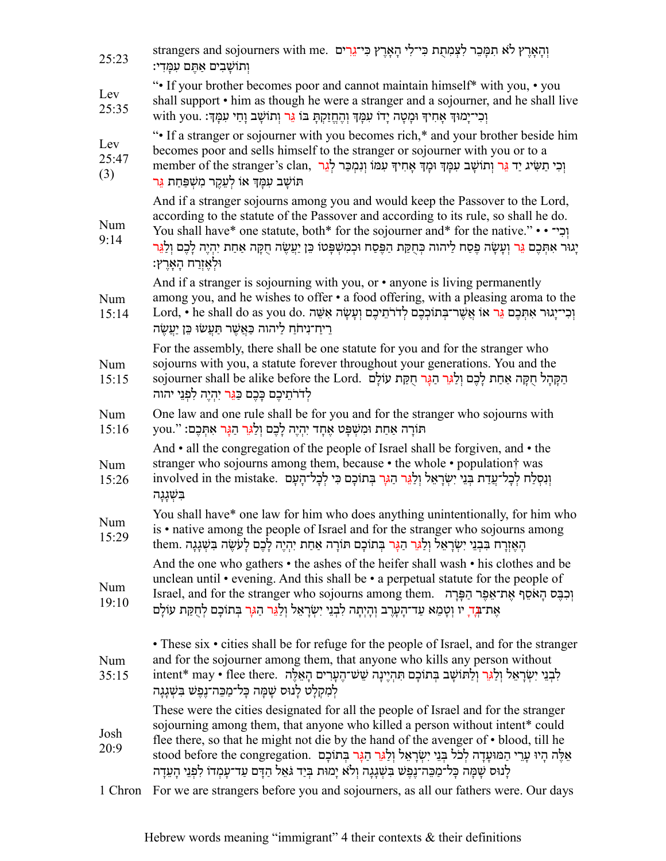| 25:23               | strangers and sojourners with me. וְהָאָרֶץ לֹא תִמְּכֵר לִצְמִתֻת כִּי־לִי הָאָרֶץ כִּי הַאֲרֶךָ<br>וְתוֹשַׁבִים אַתֵּם עִמַּדִי:                                                                                                                                                                                                                                                                                                                                                          |
|---------------------|---------------------------------------------------------------------------------------------------------------------------------------------------------------------------------------------------------------------------------------------------------------------------------------------------------------------------------------------------------------------------------------------------------------------------------------------------------------------------------------------|
| Lev<br>25:35        | "• If your brother becomes poor and cannot maintain himself* with you, • you<br>shall support • him as though he were a stranger and a sojourner, and he shall live<br>וְכִי־יָמוּךְ אָחִיךָ וּמְטָה יָדוֹ עִמְךְ וְהֶחֱזַקְתָּ בּוֹ גֵּר וְתוֹשָׁב וָחַי עִמְּךְ: with you                                                                                                                                                                                                                 |
| Lev<br>25:47<br>(3) | "• If a stranger or sojourner with you becomes rich,* and your brother beside him<br>becomes poor and sells himself to the stranger or sojourner with you or to a<br>member of the stranger's clan, וְכִי תַשְׂיג יַד גֵּר וְתוֹשָׁב עִמְןּ וּמָךְ אָחִיךָ עִמּוֹ וְנִמְכַּר לְגֵר<br>תּוֹשַׁב עִמַּךְ אוֹ לְעֵקֵר מְשִׁפַּחַת גֵּ <mark>ר</mark>                                                                                                                                           |
| Num<br>9:14         | And if a stranger sojourns among you and would keep the Passover to the Lord,<br>according to the statute of the Passover and according to its rule, so shall he do.<br>You shall have* one statute, both* for the sojourner and* for the native." • • "וְכִי־<br>יָגוּר אִתְּבֶם גֵּר וְעָשָׂה פֵסַח לַיהוה כְּחֻקַּת הַפֵּסַח וּכְמִשְׁפָּטוֹ כֵּן יַעֲשֶׂה חֻקָּה אַחַת יִהְיֶה לָבֶם וְלַגֵּר<br>ּוּלְאֵזְרַח הָאָרֵץ:                                                                  |
| Num<br>15:14        | And if a stranger is sojourning with you, or • anyone is living permanently<br>among you, and he wishes to offer • a food offering, with a pleasing aroma to the<br>Lord, • he shall do as you do. אִשָּׁה אִשָּׁה יִעָּשָׂה אִשָּׁה Lord, • he shall do as you do. וְכִי־יָגוּר אִתְּכֶם גֵּר אוֹ אֲשֶׁר־בְּתוֹכְכֶם לְדֹרֹתֵיכֶם וְעָשָׂה אִ<br>רֵיחַ־נִיחֹחַ לַיהוה כַּאֲשֶׁר תַּעֲשׂוּ כֵּן יַעֲשֶׂה                                                                                    |
| Num<br>15:15        | For the assembly, there shall be one statute for you and for the stranger who<br>sojourns with you, a statute forever throughout your generations. You and the<br>הַקְּהָל חֻקָּה אַחַת לָבֶם וְלַגְּרְ הַגָּר חֻקַּת עוֹלָם. sojourner shall be alike before the Lord.<br>לדרתיכם כַּבֵם כַּגֵּר יִהְיֵה לִפְנֵי יהוה                                                                                                                                                                      |
| Num<br>15:16        | One law and one rule shall be for you and for the stranger who sojourns with<br>חּוֹרָה אַחַת וּמִשְׁפָּט אֶחָד יִהְיֶה לָכֶם וְלַ <mark>גְּרְ הַגָּר אִתְּכֶם: ''.you</mark>                                                                                                                                                                                                                                                                                                               |
| Num<br>15:26        | And $\cdot$ all the congregation of the people of Israel shall be forgiven, and $\cdot$ the<br>stranger who sojourns among them, because • the whole • population† was<br>וְנִסְלַח לְכָל־עֲדַת בְּנֵי יִשְׂרָאֵל וְלַגֵּר הַגַּרְ בְּתוֹכָם בִּי לְכָל־הָעָם .involved in the mistake<br>בִּשְׁגַנָה                                                                                                                                                                                       |
| Num<br>15:29        | You shall have* one law for him who does anything unintentionally, for him who<br>is • native among the people of Israel and for the stranger who sojourns among<br>הָאֶזְרָח בִּבְנֵי יִשְׂרָאֵל וְלַגְּרָ הַגָּר בְּתוֹכָם תּוֹרָה אַחַת יִהְיֶה לָכֶם לָעִשֶׂה בִּשְׁגָגָה .them                                                                                                                                                                                                         |
| Num<br>19:10        | And the one who gathers • the ashes of the heifer shall wash • his clothes and be<br>unclean until $\cdot$ evening. And this shall be $\cdot$ a perpetual statute for the people of<br>Israel, and for the stranger who sojourns among them. וְכִבֶּס הָאֹסֵף אֶת־אֵפֶר הַפָּרָה<br>אֶת־ <b>בְּד</b> ָ יו וְטָמֵא עַד־הָעָרֶב וְהָיִתָה לִבְנֵי יִשְׂרָאֵל וְלַגֵּר הַגַּר בְּתוֹכָם לְחֻקַּת עוֹלָם                                                                                        |
| Num<br>35:15        | • These six • cities shall be for refuge for the people of Israel, and for the stranger<br>and for the sojourner among them, that anyone who kills any person without<br>חֹוֹחוֹשׁ בְּתוֹכָם תִּהְיֶינָה שֵׁש־הֶעָרִים הָאֵלֶּה .intent* may • flee there<br>לְמִקְלָט לָנוּס שָׁמָּה כָּל־מַכֵּה־גֵפֵשׁ בִּשְׁגָגָה                                                                                                                                                                        |
| Josh<br>20:9        | These were the cities designated for all the people of Israel and for the stranger<br>sojourning among them, that anyone who killed a person without intent* could<br>flee there, so that he might not die by the hand of the avenger of • blood, till he<br>stood before the congregation. אֵלֶּה הָיוּ עָרֵי הַמּוּעָדָה לְכֹל בְּנֵי יִשְׂרָאֵל וְלַגֵּר הַגָּר בְּתוֹכָם<br>לְנוּס שָׁמָּה כְּל־מַכֵּה־נֶפֶשׁ בִּשְׁנְגָה וְלֹא יָמוּת בְּיַד גֹּאֵל הַדָּם עַד־עָמְדוֹ לִפְנֵי הָעֵדָה |
| 1 Chron             | For we are strangers before you and sojourners, as all our fathers were. Our days                                                                                                                                                                                                                                                                                                                                                                                                           |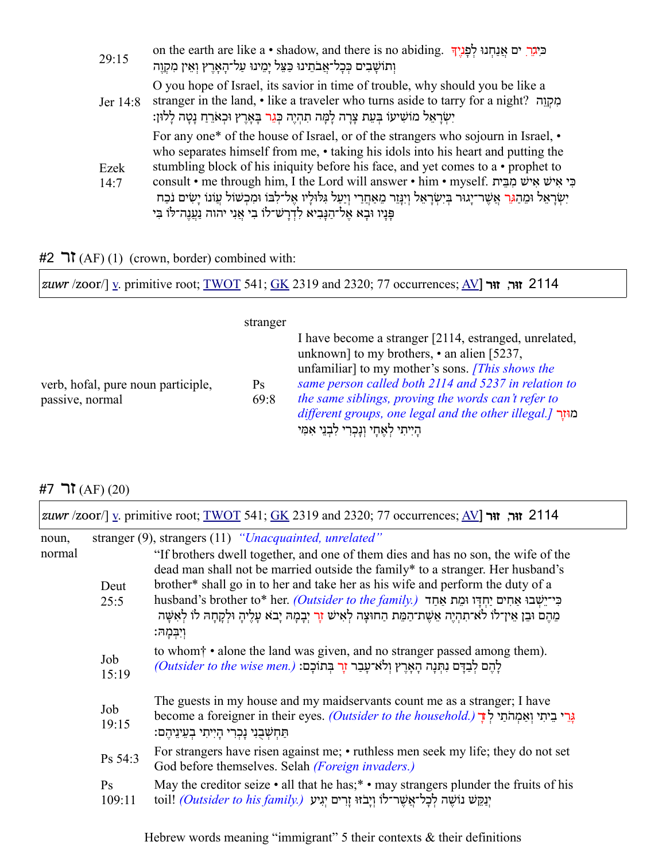| 29:15        | on the earth are like a • shadow, and there is no abiding. בִּיבְרָ יִם אֲנַחְנוּ לְפַנֵיךְ<br>וְתוֹשָׁבִים כִּכָל־אֲבֹתֵינוּ כַּצֵּל יָמֵינוּ עַל־הָאָרֵץ וְאֵין מִקְוֵה                                                                                                                                                                                                                                                                                                                                                                                                                       |
|--------------|-------------------------------------------------------------------------------------------------------------------------------------------------------------------------------------------------------------------------------------------------------------------------------------------------------------------------------------------------------------------------------------------------------------------------------------------------------------------------------------------------------------------------------------------------------------------------------------------------|
| Jer 14:8     | O you hope of Israel, its savior in time of trouble, why should you be like a<br>stranger in the land, • like a traveler who turns aside to tarry for a night? מְקְוָה<br>יִשְׂרָאֵל מוֹשִׁיעוֹ בִּעֵת צָרָה לָמָּה תִהְיֵה כְּגֵ <b>ר</b> בָּאָרֵץ וּכְאֹרֵחַ נָטָה לַלוּן:                                                                                                                                                                                                                                                                                                                    |
| Ezek<br>14:7 | For any one <sup>*</sup> of the house of Israel, or of the strangers who sojourn in Israel, •<br>who separates himself from me, • taking his idols into his heart and putting the<br>stumbling block of his iniquity before his face, and yet comes to $a \cdot$ prophet to<br>consult • me through him, I the Lord will answer • him • myself. בִּי אִישׁ אִישׁ מְבֵיח<br>יִשְׂרָאֵל וּמֵהַגֵּךְ אֲשֶׁר־יָגוּר בְּיִשְׂרָאֵל וְיִנְזֵר מֵאַחֲרַי וְיַעַל גִּלּוּלְיו אֶל־לִבּוֹ וּמִכְשׁוֹל עֲוֹנוֹ יָשִׂים נֹכַח<br>פָּנָיו וּבָא אֱל־הַנָּבִיא לְדְרָשׁ־לוֹ בִי אֲנִי יהוה נַעֲנֵה־לּוֹ בִּי |

 $#2 \rightharpoonup \rightharpoonup$  (AF) (1) (crown, border) combined with:

*[z](#page-13-2)uwr* /zoor/] [v.](#page-12-1) primitive root; [TWOT](#page-12-0) 541; [GK](#page-13-3) 2319 and 2320; 77 occurrences; [AV](#page-13-2)] זור ,זור 2114

| verb, hofal, pure noun participle, | stranger<br>Ps<br>69:8 | I have become a stranger [2114, estranged, unrelated,<br>unknown] to my brothers, $\cdot$ an alien [5237,<br>unfamiliar] to my mother's sons. [This shows the<br>same person called both 2114 and 5237 in relation to |
|------------------------------------|------------------------|-----------------------------------------------------------------------------------------------------------------------------------------------------------------------------------------------------------------------|
| passive, normal                    |                        | the same siblings, proving the words can't refer to<br>different groups, one legal and the other illegal.] מוזר<br>הָיִיתִי לְאֶחֶי וְנָבְרִי לִבְנֵי אָמִי                                                           |

# $\uparrow$ 7 (AF) (20)

|                 |                                                                                                                                                                                                                                                                                                                                                                                                                                                                                                                                                                                | $ z1z1z2z1$ primitive root; WOT 541; GK 2319 and 2320; 77 occurrences; AV $\sim$ 114                                                                                                                                        |  |  |  |
|-----------------|--------------------------------------------------------------------------------------------------------------------------------------------------------------------------------------------------------------------------------------------------------------------------------------------------------------------------------------------------------------------------------------------------------------------------------------------------------------------------------------------------------------------------------------------------------------------------------|-----------------------------------------------------------------------------------------------------------------------------------------------------------------------------------------------------------------------------|--|--|--|
| noun,<br>normal | stranger (9), strangers (11) "Unacquainted, unrelated"<br>"If brothers dwell together, and one of them dies and has no son, the wife of the<br>dead man shall not be married outside the family* to a stranger. Her husband's<br>brother* shall go in to her and take her as his wife and perform the duty of a<br>Deut<br>husband's brother to* her. <i>(Outsider to the family.)</i> בִּי־יֵשְׁבוּ אֲחִים יַחְדָּו וּמֵת אֲחָד<br>25:5<br>מֶהֶם וּבֵן אֵין־לוֹ לֹא־תְהְיֶה אֲשֶׁת־הַמֶּת הַחוּצָה לְאִישׁ זַר יִבְמַה יַבֹּא עַלֵיהַ וּלְקַחַהּ לוֹ לְאִשֶּׁה<br>וְיִבְּמָה: |                                                                                                                                                                                                                             |  |  |  |
|                 | Job<br>15:19                                                                                                                                                                                                                                                                                                                                                                                                                                                                                                                                                                   | to whom <sup>*</sup> • alone the land was given, and no stranger passed among them).<br>לַהֶם לְבַדָּם נְתְּנָה הַאֲרֵץ וְלֹא־עַבָר זֵר בְּתוֹכָם: (Outsider to the wise men.)                                              |  |  |  |
|                 | Job<br>19:15                                                                                                                                                                                                                                                                                                                                                                                                                                                                                                                                                                   | The guests in my house and my maidservants count me as a stranger; I have<br>become a foreigner in their eyes. (Outsider to the household.) גֵּרֵי בֵיתִי וְאַמְהֹתִי לְדָּי<br>תַּחִשְׁבָנִי נַכְרִי הָיִיתִי בְעֵינֵיהֵם: |  |  |  |
|                 | Ps 54:3                                                                                                                                                                                                                                                                                                                                                                                                                                                                                                                                                                        | For strangers have risen against me; • ruthless men seek my life; they do not set<br>God before themselves. Selah (Foreign invaders.)                                                                                       |  |  |  |
|                 | Ps<br>109:11                                                                                                                                                                                                                                                                                                                                                                                                                                                                                                                                                                   | May the creditor seize $\cdot$ all that he has; $\cdot \cdot$ may strangers plunder the fruits of his<br>toil! (Outsider to his family.) יַנַקֵּשׁ נוֹשֵׁה לְכָל־אֲשֵׁר־לוֹ וְיָבֹזוּ זָרִים יְגִיעִ                        |  |  |  |

Hebrew words meaning "immigrant" 5 their contexts & their definitions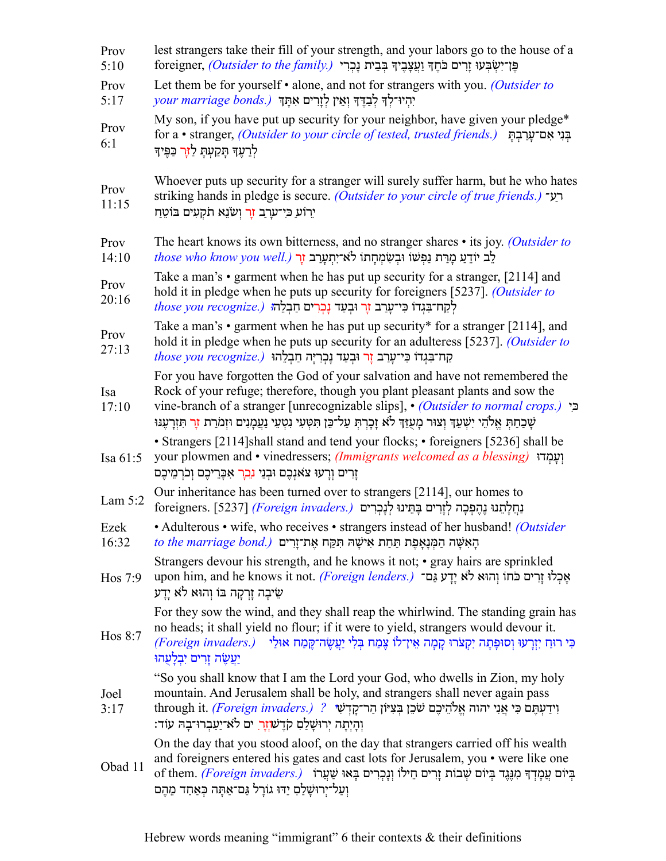| Prov<br>5:10  | lest strangers take their fill of your strength, and your labors go to the house of a<br>foreigner, (Outsider to the family.) בָּן־יִשְׂבְעוּ זָרִים כֹּחֵדְּ וַעֲצָבֵיךָ בִּבֵית נָכִרִי                                                                                                                                                                                       |  |  |
|---------------|---------------------------------------------------------------------------------------------------------------------------------------------------------------------------------------------------------------------------------------------------------------------------------------------------------------------------------------------------------------------------------|--|--|
| Prov<br>5:17  | Let them be for yourself $\cdot$ alone, and not for strangers with you. <i>(Outsider to</i><br>$your$ marriage bonds.) יִהְיוּ־לְךָּ לְבַדֶּךָּ וְאֵין לְזָרִים אִתְּךָ                                                                                                                                                                                                         |  |  |
| Prov<br>6:1   | My son, if you have put up security for your neighbor, have given your pledge*<br>for a • stranger, <i>(Outsider to your circle of tested, trusted friends.)</i> בִּנִי אִם־עַרַבְה<br>לִרַעֵךְ תַּקַעְתָ לַ <del>זָּר</del> כַּפֵּיךָ                                                                                                                                          |  |  |
| Prov<br>11:15 | Whoever puts up security for a stranger will surely suffer harm, but he who hates<br>striking hands in pledge is secure. (Outsider to your circle of true friends.) רע־<br>ירוע כי־ערב זר ושנא תקעים בוטח                                                                                                                                                                       |  |  |
| Prov<br>14:10 | The heart knows its own bitterness, and no stranger shares • its joy. <i>(Outsider to</i><br>לֵב יוֹדֵעַ מָרַת נַפְשׁוֹ וּבְשָׂמְחָתוֹ לֹא־יִתְעָרַב זָר (.those who know you well                                                                                                                                                                                              |  |  |
| Prov<br>20:16 | Take a man's • garment when he has put up security for a stranger, [2114] and<br>hold it in pledge when he puts up security for foreigners [5237]. (Outsider to<br>לְקַח־בִּגְדוֹ כִּי־עָרַב זָרְ וּבְעַד נָבְרִים חַבְלֵה <i>וּ</i> (.those you recognize                                                                                                                      |  |  |
| Prov<br>27:13 | Take a man's $\cdot$ garment when he has put up security* for a stranger [2114], and<br>hold it in pledge when he puts up security for an adulteress [5237]. (Outsider to<br>קַח־בִּגְדוֹ כִּי־עָרַב זָר וּבְעַד נָכְרִיָּה חַבְלֵהוּ (.those you recognize                                                                                                                     |  |  |
| Isa<br>17:10  | For you have forgotten the God of your salvation and have not remembered the<br>Rock of your refuge; therefore, though you plant pleasant plants and sow the<br>vine-branch of a stranger [unrecognizable slips], • (Outsider to normal crops.) כי<br>שָׁכַחַתְּ אֱלֹהֵי יִשְׁעֵךְ וְצוּר מָעֻזֵךְ לֹא זָכָרָתְ עַל־כֵּן תִּטְעִי נִטְעֵי נַעֲמָנִים וּזְמֹרַת זָר תִזְרָעֶנּוּ |  |  |
| Isa 61:5      | • Strangers [2114]shall stand and tend your flocks; • foreigners [5236] shall be<br>your plowmen and • vinedressers; (Immigrants welcomed as a blessing) וְעַמְדוּ<br>זָרִים וְרָעוּ צֹאגִכֶם וּבְנֵי <b>נִכְרְ אִכְ</b> רֵיכֶם וְכֹרְמֵיכֶם                                                                                                                                    |  |  |
| Lam 5:2       | Our inheritance has been turned over to strangers [2114], our homes to<br>נַחֲלָתֵנוּ נֵהֶפְּכָה לְזַרִים בָּתֵּינוּ לְנָכְרִים (Foreign invaders.) נַחֲלָתֵנוּ נֵהֶפְּכָה לְזַרִים בָּתֵּינוּ לְנָכְרִים                                                                                                                                                                       |  |  |
| Ezek<br>16:32 | • Adulterous • wife, who receives • strangers instead of her husband! (Outsider<br>$to$ the marriage bond.) הְאִשָּׁה תִּקַח אִת־זָרִים                                                                                                                                                                                                                                         |  |  |
| Hos 7:9       | Strangers devour his strength, and he knows it not; • gray hairs are sprinkled<br>upon him, and he knows it not. (Foreign lenders.) אָכְלוּ זַרִים כֹּחוֹ וְהוּא לֹא יָדָע גַּם־<br>שֵׂיבָה זַרְקָה בּוֹ וְהוּא לֹא יָדָע                                                                                                                                                       |  |  |
| Hos 8:7       | For they sow the wind, and they shall reap the whirlwind. The standing grain has<br>no heads; it shall yield no flour; if it were to yield, strangers would devour it.<br>כִּי רוּחַ יִזְרָעוּ וְסוּפָתָה יִקְצֹרוּ קָמָה אֵין־לוֹ צֶמַח בְּלִי יַעֲשֶׂה־קֶמַח אוּלַי (Foreign invaders.)<br>יַעֲשֶׂה זַרִים יִבְלָעָהוּ                                                        |  |  |
| Joel<br>3:17  | "So you shall know that I am the Lord your God, who dwells in Zion, my holy<br>mountain. And Jerusalem shall be holy, and strangers shall never again pass<br>through it. <i>(Foreign invaders.) ? יִי</i> דַעְתָּם כִּי אֲנִי יהוה אֱלֹהֵיכֶם שֹׁבֵן בְּצִיּוֹן הַר־קָדְשִׁ<br>וְהָיִתָה יְרוּשָׁלַם קֹדֶשׁ <b>וְזָרְ יִם לֹא</b> ־יַעַבְרוּ־בָהּ עוֹד:                        |  |  |
| Obad 11       | On the day that you stood aloof, on the day that strangers carried off his wealth<br>and foreigners entered his gates and cast lots for Jerusalem, you • were like one<br>of them. (Foreign invaders.) בְּיוֹם עֲמָדְךָּ מִנֶּגֶד בְּיוֹם שְׁבוֹת זָרִים חֵילוֹ וְנָכְרִים בָּאוּ שַׁעֲרו<br>וְעַל־יְרוּשָׁלַםְ יַדוּ גוֹרָל גַּם־אַתָּה כִּאַחַד מֶהֶם                         |  |  |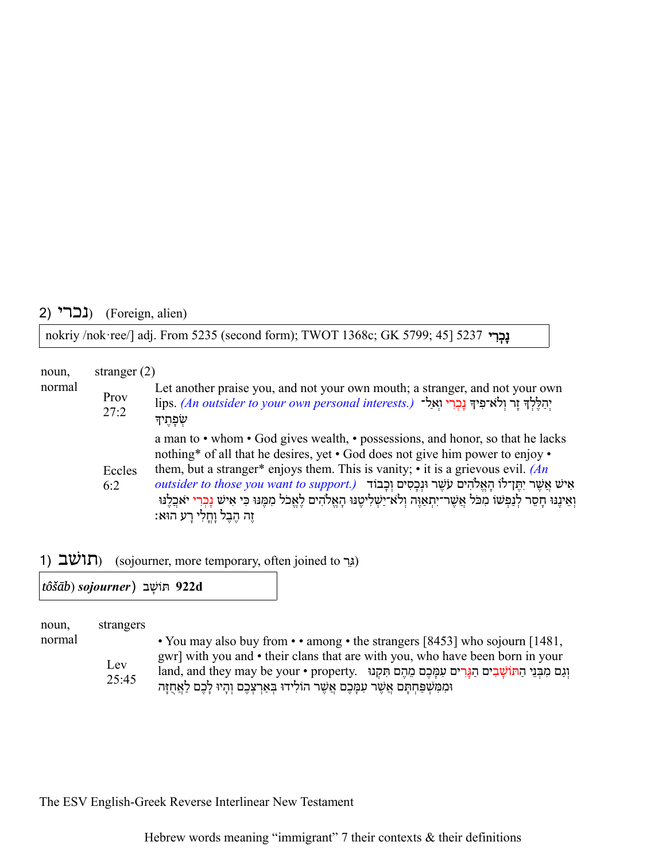#### $(1)$  ( $(1)$ כרי) (Foreign, alien)

nokriy /nok·ree/] adj. From 5235 (second form); TWOT 1368c; GK 5799; 45] 5237

| noun,  | stranger $(2)$ |                                                                                                                                                                                                  |
|--------|----------------|--------------------------------------------------------------------------------------------------------------------------------------------------------------------------------------------------|
| normal | Prov<br>27:2   | Let another praise you, and not your own mouth; a stranger, and not your own<br>lips. (An outsider to your own personal interests.) יִהַלֵּלְךָּ זָר וְלֹאִ־פִּיךָ נָבְרִי וְאַלִּ<br>שִׂפָּחֵיך |

stranger (2)

**Eccles** 6:2 a man to • whom • God gives wealth, • possessions, and honor, so that he lacks nothing\* of all that he desires, yet • God does not give him power to enjoy • them, but a stranger\* enjoys them. This is vanity; • it is a grievous evil. *(An*  איש אֲשֶׁר יְתֵּן־לוֹ הַאֱלֹהִים עִשֶׁר וּנְכַסִים וְכָבוֹד (.outsider to those you want to support ואִינֵנוּ חַסֶר לְנַפְשׁוֹ מְכֹּל אֲשֶר־יִתְאָוֶה וְלֹא־יַשְׁלִיטֶנּוּ הָאֱלֹהִים לָאֱכֹל מִמֶּנּוּ כִי אִישׁ נָכְרִי יֹאכֲלֵנּוּ זֵה הֵבֵל וַחֲלִי רַע הוא:

1) גר $\mathbf{D}$  (sojourner, more temporary, often joined to  $\mathbf{D}$ )

*tôšāb*) *sojourner*) ב תושכ **922d**

noun, strangers

normal

noun,

Lev 25:45 • You may also buy from • • among • the strangers [8453] who sojourn [1481, gwr] with you and • their clans that are with you, who have been born in your וגָם מְבְּנֵי הַתּוֹשָׁבִים הַגָּרִים עִמַּכֵם מֵהֵם תִּקְנוּ • property. וְנָם מִבְּנֵי הַתּוֹשָׁבִים הַגָּרִי ומִמְשִׁפַּחִתַּם אֲשֶׁר עִמַּכֵם אֲשֶׁר הוֹלִידוּ בִאֲרַצְּכֵם וְהַיוּ לַכֶם לַאֲחָזָה

The ESV English-Greek Reverse Interlinear New Testament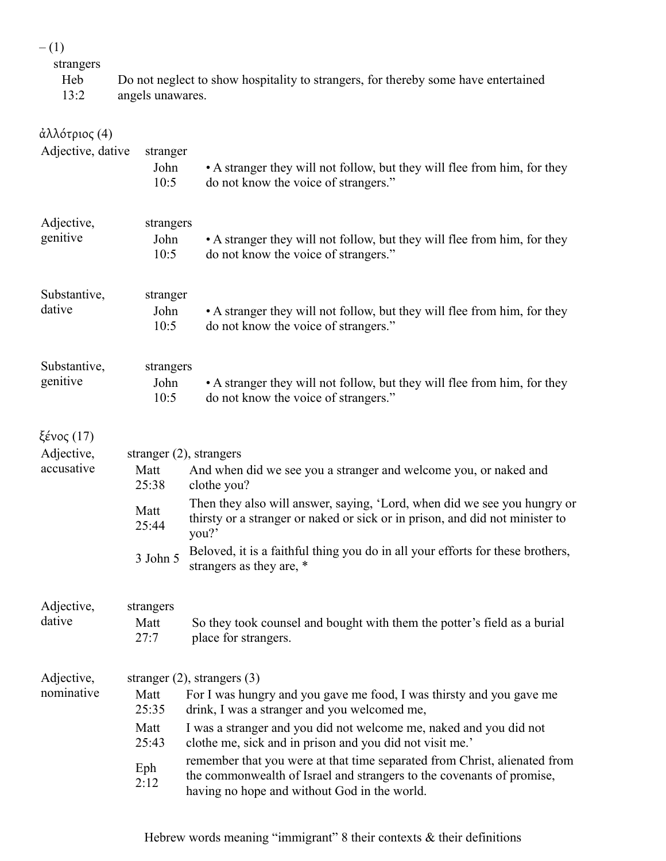strangers

Heb 13:2 Do not neglect to show hospitality to strangers, for thereby some have entertained angels unawares.

| άλλότριος (4)<br>Adjective, dative | stranger<br>John<br>10:5  | • A stranger they will not follow, but they will flee from him, for they<br>do not know the voice of strangers."                                                                                   |  |
|------------------------------------|---------------------------|----------------------------------------------------------------------------------------------------------------------------------------------------------------------------------------------------|--|
| Adjective,<br>genitive             | strangers<br>John<br>10:5 | • A stranger they will not follow, but they will flee from him, for they<br>do not know the voice of strangers."                                                                                   |  |
| Substantive,<br>dative             | stranger<br>John<br>10:5  | • A stranger they will not follow, but they will flee from him, for they<br>do not know the voice of strangers."                                                                                   |  |
| Substantive,<br>genitive           | strangers<br>John<br>10:5 | • A stranger they will not follow, but they will flee from him, for they<br>do not know the voice of strangers."                                                                                   |  |
| ξένος $(17)$                       |                           |                                                                                                                                                                                                    |  |
| Adjective,<br>accusative           | Matt                      | stranger $(2)$ , strangers<br>And when did we see you a stranger and welcome you, or naked and                                                                                                     |  |
|                                    | 25:38<br>Matt<br>25:44    | clothe you?<br>Then they also will answer, saying, 'Lord, when did we see you hungry or<br>thirsty or a stranger or naked or sick or in prison, and did not minister to<br>you?'                   |  |
|                                    | 3 John 5                  | Beloved, it is a faithful thing you do in all your efforts for these brothers,<br>strangers as they are, *                                                                                         |  |
| Adjective,<br>dative               | strangers<br>Matt<br>27:7 | So they took counsel and bought with them the potter's field as a burial<br>place for strangers.                                                                                                   |  |
| Adjective,<br>nominative           | Matt                      | stranger $(2)$ , strangers $(3)$<br>For I was hungry and you gave me food, I was thirsty and you gave me                                                                                           |  |
|                                    | 25:35<br>Matt<br>25:43    | drink, I was a stranger and you welcomed me,<br>I was a stranger and you did not welcome me, naked and you did not<br>clothe me, sick and in prison and you did not visit me.'                     |  |
|                                    | Eph<br>2:12               | remember that you were at that time separated from Christ, alienated from<br>the commonwealth of Israel and strangers to the covenants of promise,<br>having no hope and without God in the world. |  |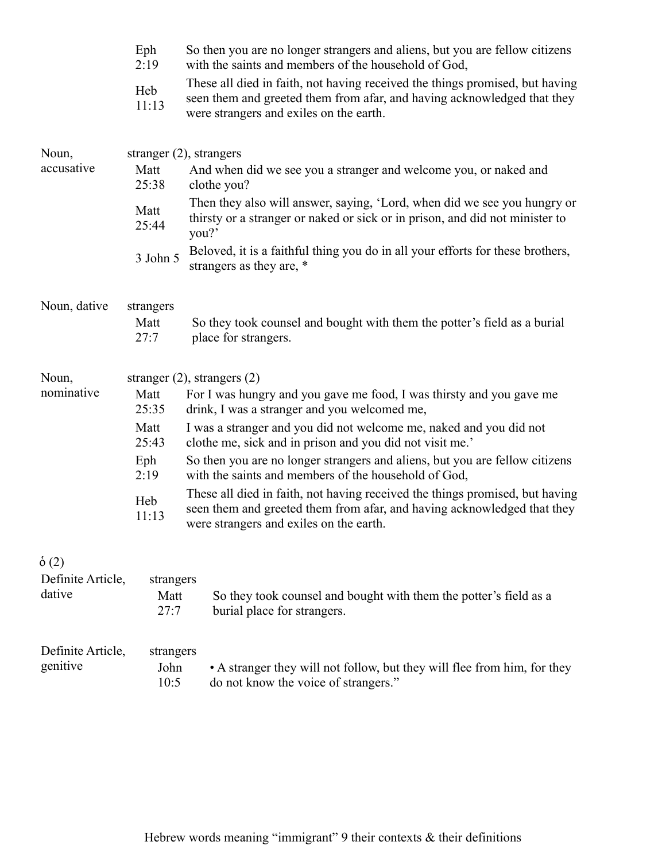|                             | Eph<br>2:19               | So then you are no longer strangers and aliens, but you are fellow citizens<br>with the saints and members of the household of God,                                                                |
|-----------------------------|---------------------------|----------------------------------------------------------------------------------------------------------------------------------------------------------------------------------------------------|
|                             | Heb<br>11:13              | These all died in faith, not having received the things promised, but having<br>seen them and greeted them from afar, and having acknowledged that they<br>were strangers and exiles on the earth. |
| Noun,                       |                           | stranger $(2)$ , strangers                                                                                                                                                                         |
| accusative                  | Matt<br>25:38             | And when did we see you a stranger and welcome you, or naked and<br>clothe you?                                                                                                                    |
|                             | Matt<br>25:44             | Then they also will answer, saying, 'Lord, when did we see you hungry or<br>thirsty or a stranger or naked or sick or in prison, and did not minister to<br>you?'                                  |
|                             | 3 John 5                  | Beloved, it is a faithful thing you do in all your efforts for these brothers,<br>strangers as they are, *                                                                                         |
| Noun, dative                | strangers                 |                                                                                                                                                                                                    |
|                             | Matt<br>27:7              | So they took counsel and bought with them the potter's field as a burial<br>place for strangers.                                                                                                   |
| Noun,                       |                           | stranger $(2)$ , strangers $(2)$                                                                                                                                                                   |
| nominative                  | Matt<br>25:35             | For I was hungry and you gave me food, I was thirsty and you gave me<br>drink, I was a stranger and you welcomed me,                                                                               |
|                             | Matt<br>25:43             | I was a stranger and you did not welcome me, naked and you did not<br>clothe me, sick and in prison and you did not visit me.'                                                                     |
|                             | Eph<br>2:19               | So then you are no longer strangers and aliens, but you are fellow citizens<br>with the saints and members of the household of God,                                                                |
|                             | Heb<br>11:13              | These all died in faith, not having received the things promised, but having<br>seen them and greeted them from afar, and having acknowledged that they<br>were strangers and exiles on the earth. |
| $\dot{\delta}(2)$           |                           |                                                                                                                                                                                                    |
| Definite Article,<br>dative | strangers<br>Matt<br>27:7 | So they took counsel and bought with them the potter's field as a<br>burial place for strangers.                                                                                                   |
| Definite Article,           | strangers                 |                                                                                                                                                                                                    |
| genitive<br>John<br>10:5    |                           | • A stranger they will not follow, but they will flee from him, for they<br>do not know the voice of strangers."                                                                                   |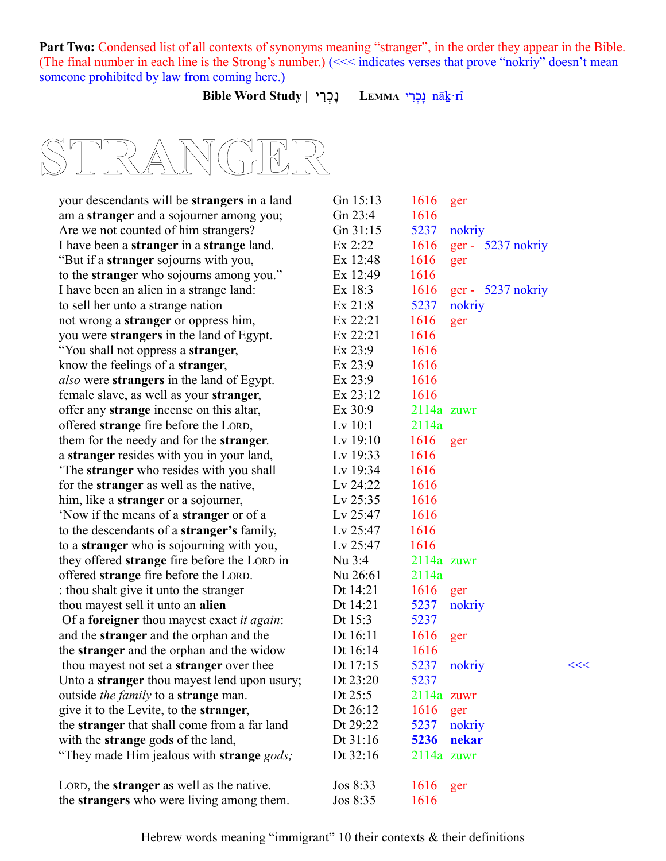Part Two: Condensed list of all contexts of synonyms meaning "stranger", in the order they appear in the Bible. (The final number in each line is the Strong's number.) (<<< indicates verses that prove "nokriy" doesn't mean someone prohibited by law from coming here.)

י **| Study Word Bible**

rî·nāḵ נכ כר רי י **LEMMA** נ כר-



your descendants will be **strangers** in a land G am a **stranger** and a sojourner among you; Are we not counted of him strangers? I have been a **stranger** in a **strange** land. Exercise "But if a **stranger** sojourns with you, Exercise to the **stranger** who sojourns among you." Exercise I have been an alien in a strange land: Exercise to sell her unto a strange nation Executive Research Executive Research Executive Research Executive Research R not wrong a **stranger** or oppress him, you were **strangers** in the land of Egypt. "You shall not oppress a **stranger**, Exercise **Exercise Exercise** know the feelings of a **stranger**, Exercise 1616 *also* were **strangers** in the land of Egypt. female slave, as well as your **stranger**, Exercise **EXECUTE:** offer any **strange** incense on this altar, Exercise offered **strange** fire before the LORD, them for the needy and for the **stranger**. L a **stranger** resides with you in your land, 'The **stranger** who resides with you shall L for the **stranger** as well as the native, L him, like a **stranger** or a sojourner, 'Now if the means of a **stranger** or of a to the descendants of a **stranger's** family, to a **stranger** who is sojourning with you. they offered **strange** fire before the LORD in offered **strange** fire before the LORD.  $\therefore$  thou shalt give it unto the stranger  $\qquad \qquad \Box$ thou mayest sell it unto an **alien** D Of a **foreigner** thou mayest exact *it again*: and the **stranger** and the orphan and the D the **stranger** and the orphan and the widow D thou may est not set a **stranger** over thee Dt 17:15 5237 nokriy Unto a **stranger** thou may est lend upon usury;  $\Box$ outside *the family* to a **strange** man.  $\Box$ give it to the Levite, to the **stranger**,  $\Box$ the **stranger** that shall come from a far land D with the **strange** gods of the land, "They made Him jealous with **strange** *gods*;

| your descendants will be strangers in a land            | Gn 15:13   | 1616       | ger                 |
|---------------------------------------------------------|------------|------------|---------------------|
| am a <b>stranger</b> and a sojourner among you;         | Gn 23:4    | 1616       |                     |
| Are we not counted of him strangers?                    | Gn 31:15   | 5237       | nokriy              |
| I have been a stranger in a strange land.               | Ex 2:22    | 1616       | ger - 5237 nokriy   |
| "But if a stranger sojourns with you,                   | Ex 12:48   | 1616       | ger                 |
| to the stranger who sojourns among you."                | Ex 12:49   | 1616       |                     |
| I have been an alien in a strange land:                 | Ex 18:3    | 1616       | $ger - 5237$ nokriy |
| to sell her unto a strange nation                       | Ex 21:8    | 5237       | nokriy              |
| not wrong a <b>stranger</b> or oppress him,             | Ex 22:21   | 1616       | ger                 |
| you were strangers in the land of Egypt.                | Ex 22:21   | 1616       |                     |
| "You shall not oppress a stranger,                      | Ex 23:9    | 1616       |                     |
| know the feelings of a stranger,                        | Ex 23:9    | 1616       |                     |
| <i>also</i> were <b>strangers</b> in the land of Egypt. | Ex 23:9    | 1616       |                     |
| female slave, as well as your stranger,                 | Ex 23:12   | 1616       |                     |
| offer any strange incense on this altar,                | Ex 30:9    | 2114a zuwr |                     |
| offered strange fire before the LORD,                   | Lv $10:1$  | 2114a      |                     |
| them for the needy and for the stranger.                | Lv $19:10$ | 1616       | ger                 |
| a stranger resides with you in your land,               | Lv $19:33$ | 1616       |                     |
| The stranger who resides with you shall                 | Lv $19:34$ | 1616       |                     |
| for the <b>stranger</b> as well as the native,          | Lv 24:22   | 1616       |                     |
| him, like a <b>stranger</b> or a sojourner,             | $Lv$ 25:35 | 1616       |                     |
| 'Now if the means of a <b>stranger</b> or of a          | $Lv$ 25:47 | 1616       |                     |
| to the descendants of a <b>stranger's</b> family,       | $Lv$ 25:47 | 1616       |                     |
| to a <b>stranger</b> who is sojourning with you,        | $Lv$ 25:47 | 1616       |                     |
| they offered strange fire before the LORD in            | Nu 3:4     | 2114a zuwr |                     |
| offered strange fire before the LORD.                   | Nu 26:61   | 2114a      |                     |
| : thou shalt give it unto the stranger                  | Dt 14:21   | 1616       | ger                 |
| thou mayest sell it unto an alien                       | Dt 14:21   | 5237       | nokriy              |
| Of a foreigner thou mayest exact it again:              | Dt $15:3$  | 5237       |                     |
| and the stranger and the orphan and the                 | Dt 16:11   | 1616       | ger                 |
| the stranger and the orphan and the widow               | Dt 16:14   | 1616       |                     |
| thou mayest not set a <b>stranger</b> over thee         | Dt 17:15   | 5237       | nokriy              |
| Unto a <b>stranger</b> thou mayest lend upon usury;     | Dt $23:20$ | 5237       |                     |
| outside the family to a strange man.                    | Dt $25:5$  | 2114a zuwr |                     |
| give it to the Levite, to the stranger,                 | Dt 26:12   | 1616       | ger                 |
| the stranger that shall come from a far land            | Dt 29:22   | 5237       | nokriy              |
| with the <b>strange</b> gods of the land,               | Dt 31:16   | 5236       | nekar               |
| "They made Him jealous with strange gods;               | Dt 32:16   | 2114a zuwr |                     |
| LORD, the stranger as well as the native.               | Jos 8:33   | 1616       | ger                 |
| the <b>strangers</b> who were living among them.        | Jos 8:35   | 1616       |                     |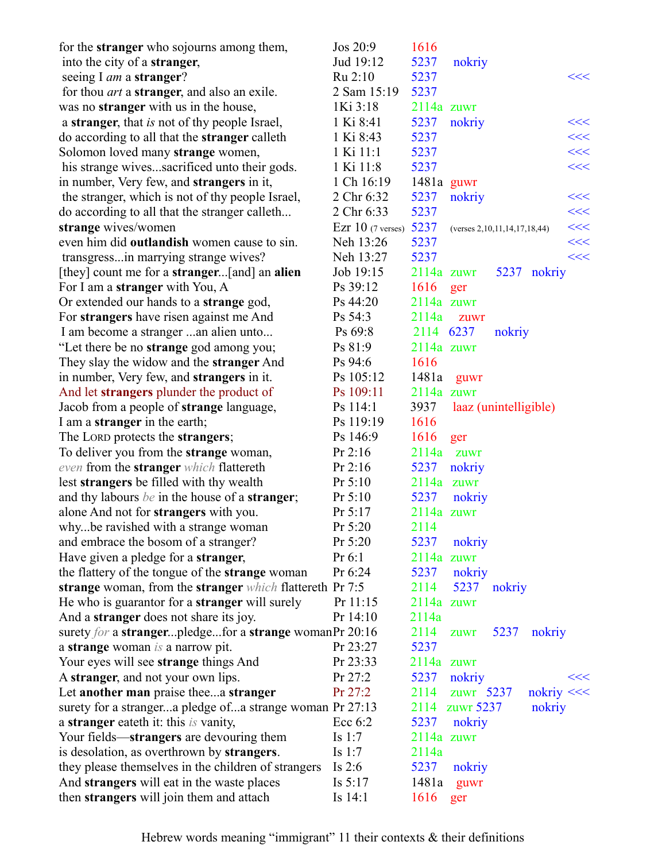| for the <b>stranger</b> who sojourns among them,            | Jos 20:9            | 1616         |                                          |  |
|-------------------------------------------------------------|---------------------|--------------|------------------------------------------|--|
| into the city of a stranger,                                | Jud 19:12           | 5237         | nokriy                                   |  |
| seeing I am a stranger?                                     | Ru 2:10             | 5237         | <<                                       |  |
| for thou <i>art</i> a <b>stranger</b> , and also an exile.  | 2 Sam 15:19         | 5237         |                                          |  |
| was no stranger with us in the house,                       | 1Ki 3:18            | 2114a zuwr   |                                          |  |
| a stranger, that is not of thy people Israel,               | 1 Ki 8:41           | 5237         | nokriy<br><<                             |  |
| do according to all that the stranger calleth               | 1 Ki 8:43           | 5237         | <<                                       |  |
| Solomon loved many strange women,                           | 1 Ki 11:1           | 5237         | <<                                       |  |
| his strange wivessacrificed unto their gods.                | 1 Ki 11:8           | 5237         | <<                                       |  |
| in number, Very few, and strangers in it,                   | 1 Ch 16:19          | 1481a guwr   |                                          |  |
| the stranger, which is not of thy people Israel,            | 2 Chr 6:32          | 5237         | nokriy<br><<                             |  |
| do according to all that the stranger calleth               | 2 Chr 6:33          | 5237         | <<                                       |  |
| strange wives/women                                         | Ezr $10$ (7 verses) | 5237         | <<<br>(verses 2, 10, 11, 14, 17, 18, 44) |  |
| even him did <b>outlandish</b> women cause to sin.          | Neh 13:26           | 5237         | <<                                       |  |
| transgress in marrying strange wives?                       | Neh 13:27           | 5237         | <<                                       |  |
| [they] count me for a <b>stranger</b> [and] an <b>alien</b> | Job 19:15           | $2114a$ zuwr | 5237 nokriy                              |  |
| For I am a stranger with You, A                             | Ps 39:12            | 1616         | ger                                      |  |
| Or extended our hands to a <b>strange</b> god,              | Ps 44:20            | 2114a zuwr   |                                          |  |
| For strangers have risen against me And                     | Ps 54:3             | 2114a        | zuwr                                     |  |
| I am become a stranger an alien unto                        | Ps 69:8             | 2114 6237    | nokriy                                   |  |
| "Let there be no strange god among you;                     | Ps 81:9             | 2114a zuwr   |                                          |  |
| They slay the widow and the stranger And                    | Ps 94:6             | 1616         |                                          |  |
| in number, Very few, and strangers in it.                   | Ps 105:12           | 1481a        | guwr                                     |  |
| And let strangers plunder the product of                    | Ps 109:11           | $2114a$ zuwr |                                          |  |
| Jacob from a people of strange language,                    | Ps 114:1            | 3937         | laaz (unintelligible)                    |  |
| I am a stranger in the earth;                               | Ps 119:19           | 1616         |                                          |  |
| The LORD protects the strangers;                            | Ps 146:9            | 1616         | ger                                      |  |
| To deliver you from the <b>strange</b> woman,               | Pr 2:16             | 2114a        | zuwr                                     |  |
| even from the stranger which flattereth                     | Pr 2:16             | 5237         | nokriy                                   |  |
| lest strangers be filled with thy wealth                    | Pr 5:10             | 2114a        | zuwr                                     |  |
| and thy labours be in the house of a stranger;              | Pr $5:10$           | 5237         | nokriy                                   |  |
| alone And not for <b>strangers</b> with you.                | Pr 5:17             | 2114a zuwr   |                                          |  |
| whybe ravished with a strange woman                         | Pr 5:20             | 2114         |                                          |  |
| and embrace the bosom of a stranger?                        | Pr 5:20             | 5237         | nokriy                                   |  |
| Have given a pledge for a stranger,                         | Pr 6:1              | 2114a        | zuwr                                     |  |
| the flattery of the tongue of the strange woman             | Pr 6:24             | 5237         | nokriy                                   |  |
| strange woman, from the stranger which flattereth Pr 7:5    |                     | 2114         | 5237<br>nokriy                           |  |
| He who is guarantor for a stranger will surely              | Pr 11:15            | 2114a        | zuwr                                     |  |
| And a <b>stranger</b> does not share its joy.               | Pr 14:10            | 2114a        |                                          |  |
| surety for a strangerpledgefor a strange womanPr 20:16      |                     | 2114         | 5237<br>nokriy<br>zuwr                   |  |
| a strange woman is a narrow pit.                            | Pr 23:27            | 5237         |                                          |  |
| Your eyes will see strange things And                       | Pr 23:33            | 2114a zuwr   |                                          |  |
| A stranger, and not your own lips.                          | Pr 27:2             | 5237         | nokriy<br><<                             |  |
| Let another man praise theea stranger                       | Pr 27:2             | 2114         | nokriy $<<$<br>zuwr 5237                 |  |
| surety for a strangera pledge ofa strange woman Pr 27:13    |                     | 2114         | zuwr 5237<br>nokriy                      |  |
| a stranger eateth it: this is vanity,                       | Ecc $6:2$           | 5237         | nokriy                                   |  |
| Your fields-strangers are devouring them                    | Is $1:7$            | 2114a        | zuwr                                     |  |
| is desolation, as overthrown by strangers.                  | Is $1:7$            | 2114a        |                                          |  |
| they please themselves in the children of strangers         | Is $2:6$            | 5237         | nokriy                                   |  |
| And strangers will eat in the waste places                  | Is $5:17$           | 1481a        | guwr                                     |  |
| then strangers will join them and attach                    | Is 14:1             | 1616         | ger                                      |  |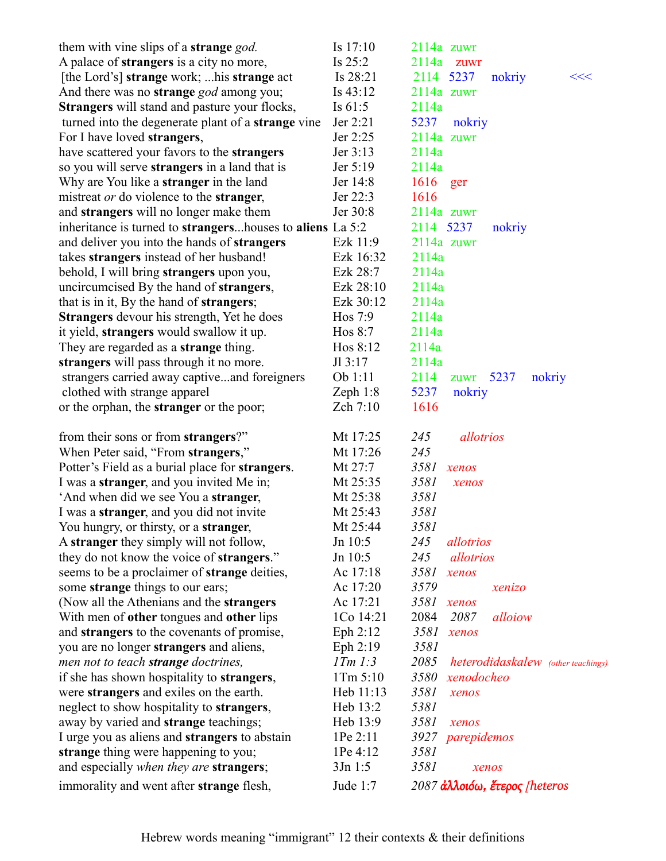| them with vine slips of a <b>strange</b> god.                            | Is $17:10$    | $2114a$ zuwr                               |
|--------------------------------------------------------------------------|---------------|--------------------------------------------|
| A palace of strangers is a city no more,                                 | Is 25:2       | $2114a$ zuwr                               |
| [the Lord's] strange work; his strange act                               | Is $28:21$    | 2114 5237<br>nokriy<br><<                  |
| And there was no <b>strange</b> god among you;                           | Is $43:12$    | $2114a$ zuwr                               |
| <b>Strangers</b> will stand and pasture your flocks,                     | Is $61:5$     | 2114a                                      |
| turned into the degenerate plant of a strange vine                       | Jer $2:21$    | 5237<br>nokriy                             |
| For I have loved strangers,                                              | Jer 2:25      | $2114a$ zuwr                               |
| have scattered your favors to the strangers                              | Jer 3:13      | 2114a                                      |
| so you will serve strangers in a land that is                            | Jer $5:19$    | 2114a                                      |
| Why are You like a stranger in the land                                  | Jer 14:8      | 1616<br>ger                                |
| mistreat or do violence to the stranger,                                 | Jer 22:3      | 1616                                       |
| and strangers will no longer make them                                   | Jer 30:8      | 2114a zuwr                                 |
| inheritance is turned to <b>strangers</b> houses to <b>aliens</b> La 5:2 |               | 2114 5237<br>nokriy                        |
| and deliver you into the hands of strangers                              | Ezk 11:9      | 2114a zuwr                                 |
| takes strangers instead of her husband!                                  | Ezk 16:32     | 2114a                                      |
| behold, I will bring strangers upon you,                                 | Ezk 28:7      | 2114a                                      |
| uncircumcised By the hand of strangers,                                  | Ezk 28:10     | 2114a                                      |
| that is in it, By the hand of <b>strangers</b> ;                         | Ezk 30:12     | 2114a                                      |
| <b>Strangers</b> devour his strength, Yet he does                        | Hos 7:9       | 2114a                                      |
| it yield, strangers would swallow it up.                                 | Hos $8:7$     | 2114a                                      |
| They are regarded as a <b>strange</b> thing.                             | Hos 8:12      | 2114a                                      |
| strangers will pass through it no more.                                  | JI 3:17       | 2114a                                      |
| strangers carried away captiveand foreigners                             | Ob 1:11       | 2114<br>zuwr 5237<br>nokriy                |
| clothed with strange apparel                                             | Zeph $1:8$    | 5237<br>nokriy                             |
| or the orphan, the <b>stranger</b> or the poor;                          | Zch 7:10      | 1616                                       |
| from their sons or from strangers?"                                      | Mt 17:25      | 245<br>allotrios                           |
| When Peter said, "From strangers,"                                       | Mt 17:26      | 245                                        |
| Potter's Field as a burial place for strangers.                          | Mt 27:7       | 3581<br>xenos                              |
| I was a stranger, and you invited Me in;                                 | Mt $25:35$    | 3581<br>xenos                              |
| 'And when did we see You a stranger,                                     | Mt 25:38      | 3581                                       |
| I was a <b>stranger</b> , and you did not invite                         | Mt 25:43      | 3581                                       |
| You hungry, or thirsty, or a <b>stranger</b> ,                           | Mt 25:44      | 3581                                       |
| A stranger they simply will not follow,                                  | Jn $10:5$     | 245<br>allotrios                           |
| they do not know the voice of strangers."                                | Jn $10:5$     | 245<br>allotrios                           |
| seems to be a proclaimer of strange deities,                             | Ac 17:18      | 3581<br>xenos                              |
| some strange things to our ears;                                         | Ac 17:20      | 3579<br>xenizo                             |
| (Now all the Athenians and the strangers                                 | Ac 17:21      | 3581<br>xenos                              |
| With men of other tongues and other lips                                 | 1Co 14:21     | 2084<br>2087<br>alloiow                    |
| and strangers to the covenants of promise,                               | Eph $2:12$    | 3581<br>xenos                              |
| you are no longer strangers and aliens,                                  | Eph 2:19      | 3581                                       |
| men not to teach strange doctrines,                                      | $1Tm$ 1:3     | 2085<br>heterodidaskalew (other teachings) |
| if she has shown hospitality to strangers,                               | $1$ Tm $5:10$ | 3580<br>xenodocheo                         |
| were strangers and exiles on the earth.                                  | Heb 11:13     | 3581<br>xenos                              |
| neglect to show hospitality to strangers,                                | Heb 13:2      | 5381                                       |
| away by varied and strange teachings;                                    | Heb 13:9      | 3581<br>xenos                              |
| I urge you as aliens and strangers to abstain                            | $1Pe$ 2:11    | 3927<br>parepidemos                        |
| strange thing were happening to you;                                     | 1Pe 4:12      | 3581                                       |
| and especially when they are strangers;                                  | $3Jn$ 1:5     | 3581<br>xenos                              |
|                                                                          |               |                                            |
| immorality and went after strange flesh,                                 | Jude $1:7$    | 2087 άλλοιόω, έτερος [heteros              |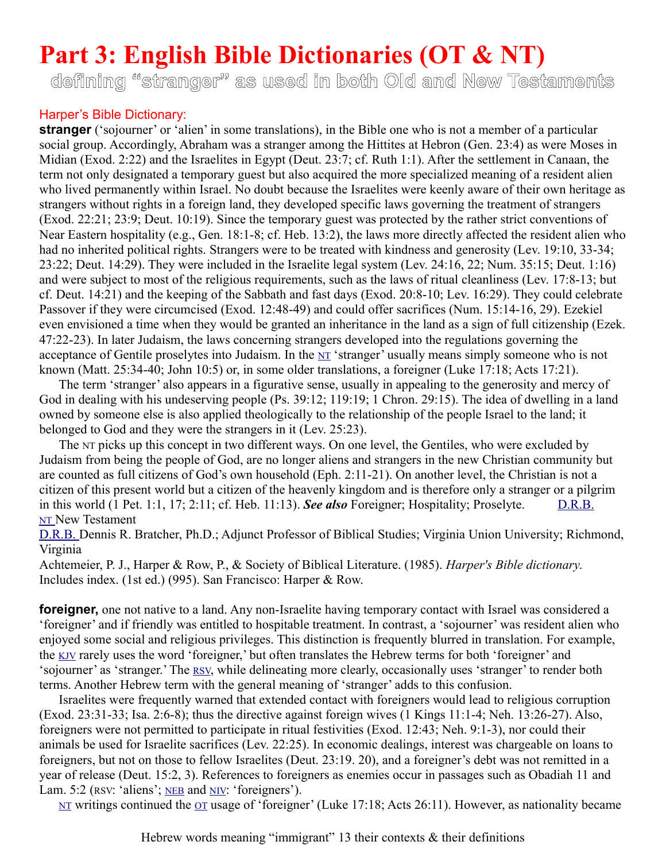# **Part 3: English Bible Dictionaries (OT & NT)**

**defining "stranger" as used in both Old and New Testaments**

### Harper's Bible Dictionary:

**stranger** ('sojourner' or 'alien' in some translations), in the Bible one who is not a member of a particular social group. Accordingly, Abraham was a stranger among the Hittites at Hebron (Gen. 23:4) as were Moses in Midian (Exod. 2:22) and the Israelites in Egypt (Deut. 23:7; cf. Ruth 1:1). After the settlement in Canaan, the term not only designated a temporary guest but also acquired the more specialized meaning of a resident alien who lived permanently within Israel. No doubt because the Israelites were keenly aware of their own heritage as strangers without rights in a foreign land, they developed specific laws governing the treatment of strangers (Exod. 22:21; 23:9; Deut. 10:19). Since the temporary guest was protected by the rather strict conventions of Near Eastern hospitality (e.g., Gen. 18:1-8; cf. Heb. 13:2), the laws more directly affected the resident alien who had no inherited political rights. Strangers were to be treated with kindness and generosity (Lev. 19:10, 33-34; 23:22; Deut. 14:29). They were included in the Israelite legal system (Lev. 24:16, 22; Num. 35:15; Deut. 1:16) and were subject to most of the religious requirements, such as the laws of ritual cleanliness (Lev. 17:8-13; but cf. Deut. 14:21) and the keeping of the Sabbath and fast days (Exod. 20:8-10; Lev. 16:29). They could celebrate Passover if they were circumcised (Exod. 12:48-49) and could offer sacrifices (Num. 15:14-16, 29). Ezekiel even envisioned a time when they would be granted an inheritance in the land as a sign of full citizenship (Ezek. 47:22-23). In later Judaism, the laws concerning strangers developed into the regulations governing the acceptance of Gentile proselytes into Judaism. In the [NT](#page-12-1) 'stranger' usually means simply someone who is not known (Matt. 25:34-40; John 10:5) or, in some older translations, a foreigner (Luke 17:18; Acts 17:21).

The term 'stranger' also appears in a figurative sense, usually in appealing to the generosity and mercy of God in dealing with his undeserving people (Ps. 39:12; 119:19; 1 Chron. 29:15). The idea of dwelling in a land owned by someone else is also applied theologically to the relationship of the people Israel to the land; it belonged to God and they were the strangers in it (Lev. 25:23).

The NT picks up this concept in two different ways. On one level, the Gentiles, who were excluded by Judaism from being the people of God, are no longer aliens and strangers in the new Christian community but are counted as full citizens of God's own household (Eph. 2:11-21). On another level, the Christian is not a citizen of this present world but a citizen of the heavenly kingdom and is therefore only a stranger or a pilgrim in this world (1 Pet. 1:1, 17; 2:11; cf. Heb. 11:13). *See also* Foreigner; Hospitality; Proselyte. [D.R.B.](#page-12-0) **[NT](#page-2-1)** New Testament

<span id="page-12-1"></span><span id="page-12-0"></span>D.R.B. Dennis R. Bratcher, Ph.D.; Adjunct Professor of Biblical Studies; Virginia Union University; Richmond, Virginia

Achtemeier, P. J., Harper & Row, P., & Society of Biblical Literature. (1985). *Harper's Bible dictionary*. Includes index. (1st ed.) (995). San Francisco: Harper & Row.

**foreigner,** one not native to a land. Any non-Israelite having temporary contact with Israel was considered a 'foreigner' and if friendly was entitled to hospitable treatment. In contrast, a 'sojourner' was resident alien who enjoyed some social and religious privileges. This distinction is frequently blurred in translation. For example, the [KJV](#page-12-1) rarely uses the word 'foreigner,' but often translates the Hebrew terms for both 'foreigner' and 'sojourner' as 'stranger.' The [RSV](#page-12-0), while delineating more clearly, occasionally uses 'stranger' to render both terms. Another Hebrew term with the general meaning of 'stranger' adds to this confusion.

Israelites were frequently warned that extended contact with foreigners would lead to religious corruption (Exod. 23:31-33; Isa. 2:6-8); thus the directive against foreign wives (1 Kings 11:1-4; Neh. 13:26-27). Also, foreigners were not permitted to participate in ritual festivities (Exod. 12:43; Neh. 9:1-3), nor could their animals be used for Israelite sacrifices (Lev. 22:25). In economic dealings, interest was chargeable on loans to foreigners, but not on those to fellow Israelites (Deut. 23:19. 20), and a foreigner's debt was not remitted in a year of release (Deut. 15:2, 3). References to foreigners as enemies occur in passages such as Obadiah 11 and Lam. 5:2 (RSV: 'aliens'; [NEB](#page-13-3) and [NIV](#page-13-2): 'foreigners').

[NT](#page-13-1) writings continued the [OT](#page-13-0) usage of 'foreigner' (Luke 17:18; Acts 26:11). However, as nationality became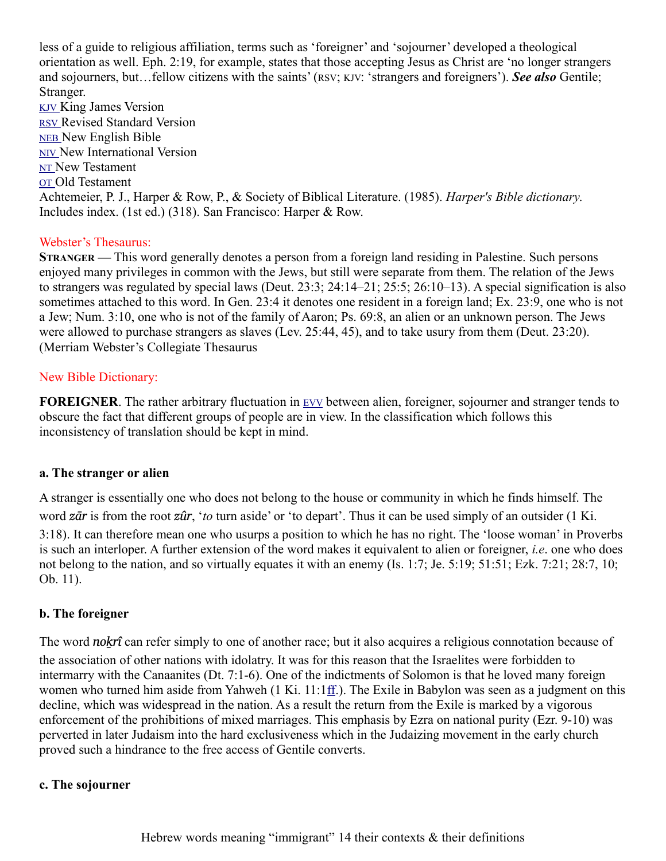less of a guide to religious affiliation, terms such as 'foreigner' and 'sojourner' developed a theological orientation as well. Eph. 2:19, for example, states that those accepting Jesus as Christ are 'no longer strangers and sojourners, but…fellow citizens with the saints' (RSV; KJV: 'strangers and foreigners'). *See also* Gentile; Stranger.

<span id="page-13-3"></span><span id="page-13-2"></span><span id="page-13-1"></span> [KJV](#page-2-1) King James Version [RSV](#page-2-0) Revised Standard Version [NEB](#page-2-4) New English Bible [NIV](#page-2-3) New International Version [NT](#page-2-2) New Testament [OT](#page-1-0) Old Testament Achtemeier, P. J., Harper & Row, P., & Society of Biblical Literature. (1985). *Harper's Bible dictionary*. Includes index. (1st ed.) (318). San Francisco: Harper & Row.

## <span id="page-13-0"></span>Webster's Thesaurus:

**STRANGER —** This word generally denotes a person from a foreign land residing in Palestine. Such persons enjoyed many privileges in common with the Jews, but still were separate from them. The relation of the Jews to strangers was regulated by special laws (Deut. 23:3; 24:14–21; 25:5; 26:10–13). A special signification is also sometimes attached to this word. In Gen. 23:4 it denotes one resident in a foreign land; Ex. 23:9, one who is not a Jew; Num. 3:10, one who is not of the family of Aaron; Ps. 69:8, an alien or an unknown person. The Jews were allowed to purchase strangers as slaves (Lev. 25:44, 45), and to take usury from them (Deut. 23:20). (Merriam Webster's Collegiate Thesaurus

## New Bible Dictionary:

**FOREIGNER**. The rather arbitrary fluctuation in [EVV](#page-12-1) between alien, foreigner, sojourner and stranger tends to obscure the fact that different groups of people are in view. In the classification which follows this inconsistency of translation should be kept in mind.

#### **a. The stranger or alien**

A stranger is essentially one who does not belong to the house or community in which he finds himself. The word *zār* is from the root *zûr*, '*to* turn aside' or 'to depart'. Thus it can be used simply of an outsider (1 Ki. 3:18). It can therefore mean one who usurps a position to which he has no right. The 'loose woman' in Proverbs is such an interloper. A further extension of the word makes it equivalent to alien or foreigner, *i.e*. one who does not belong to the nation, and so virtually equates it with an enemy (Is. 1:7; Je. 5:19; 51:51; Ezk. 7:21; 28:7, 10; Ob. 11).

#### **b. The foreigner**

The word *nokrî* can refer simply to one of another race; but it also acquires a religious connotation because of the association of other nations with idolatry. It was for this reason that the Israelites were forbidden to intermarry with the Canaanites (Dt. 7:1-6). One of the indictments of Solomon is that he loved many foreign women who turned him aside from Yahweh (1 Ki. 11:[1ff.](#page-12-0)). The Exile in Babylon was seen as a judgment on this decline, which was widespread in the nation. As a result the return from the Exile is marked by a vigorous enforcement of the prohibitions of mixed marriages. This emphasis by Ezra on national purity (Ezr. 9-10) was perverted in later Judaism into the hard exclusiveness which in the Judaizing movement in the early church proved such a hindrance to the free access of Gentile converts.

#### **c. The sojourner**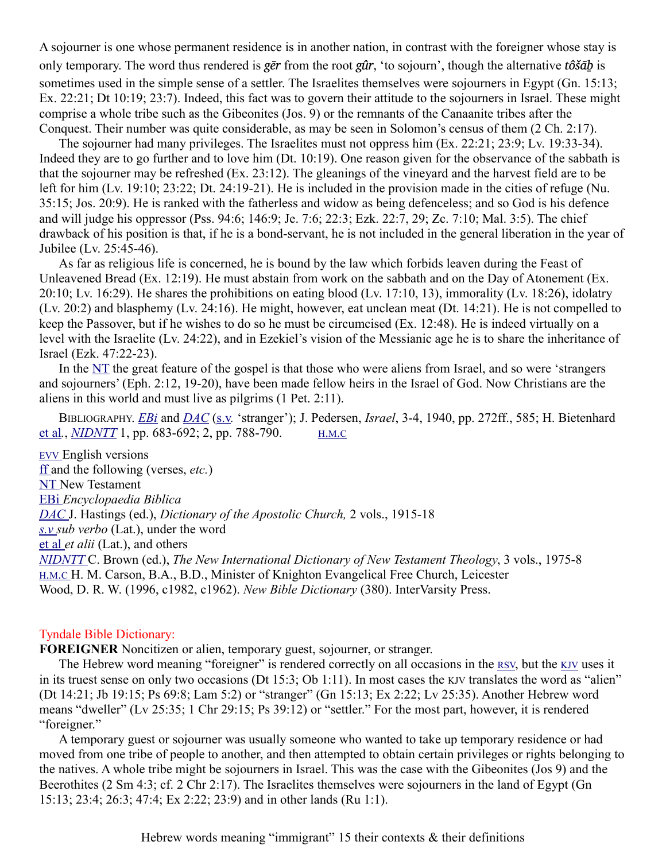A sojourner is one whose permanent residence is in another nation, in contrast with the foreigner whose stay is only temporary. The word thus rendered is *gēr* from the root *gûr*, 'to sojourn', though the alternative *tôšāḇ* is sometimes used in the simple sense of a settler. The Israelites themselves were sojourners in Egypt (Gn. 15:13; Ex. 22:21; Dt 10:19; 23:7). Indeed, this fact was to govern their attitude to the sojourners in Israel. These might comprise a whole tribe such as the Gibeonites (Jos. 9) or the remnants of the Canaanite tribes after the Conquest. Their number was quite considerable, as may be seen in Solomon's census of them (2 Ch. 2:17).

The sojourner had many privileges. The Israelites must not oppress him (Ex. 22:21; 23:9; Lv. 19:33-34). Indeed they are to go further and to love him (Dt. 10:19). One reason given for the observance of the sabbath is that the sojourner may be refreshed (Ex. 23:12). The gleanings of the vineyard and the harvest field are to be left for him (Lv. 19:10; 23:22; Dt. 24:19-21). He is included in the provision made in the cities of refuge (Nu. 35:15; Jos. 20:9). He is ranked with the fatherless and widow as being defenceless; and so God is his defence and will judge his oppressor (Pss. 94:6; 146:9; Je. 7:6; 22:3; Ezk. 22:7, 29; Zc. 7:10; Mal. 3:5). The chief drawback of his position is that, if he is a bond-servant, he is not included in the general liberation in the year of Jubilee (Lv. 25:45-46).

As far as religious life is concerned, he is bound by the law which forbids leaven during the Feast of Unleavened Bread (Ex. 12:19). He must abstain from work on the sabbath and on the Day of Atonement (Ex. 20:10; Lv. 16:29). He shares the prohibitions on eating blood (Lv. 17:10, 13), immorality (Lv. 18:26), idolatry (Lv. 20:2) and blasphemy (Lv. 24:16). He might, however, eat unclean meat (Dt. 14:21). He is not compelled to keep the Passover, but if he wishes to do so he must be circumcised (Ex. 12:48). He is indeed virtually on a level with the Israelite (Lv. 24:22), and in Ezekiel's vision of the Messianic age he is to share the inheritance of Israel (Ezk. 47:22-23).

In the  $NT$  the great feature of the gospel is that those who were aliens from Israel, and so were 'strangers' and sojourners' (Eph. 2:12, 19-20), have been made fellow heirs in the Israel of God. Now Christians are the aliens in this world and must live as pilgrims (1 Pet. 2:11).

<span id="page-14-2"></span><span id="page-14-1"></span><span id="page-14-0"></span>BIBLIOGRAPHY. *[EBi](#page-13-2)* and *[DAC](#page-13-1)* [\(s.v](#page-13-0)*.* 'stranger'); J. Pedersen, *Israel*, 3-4, 1940, pp. 272ff., 585; H. Bietenhard [et al](#page-14-5)., *[NIDNTT](#page-14-4)* 1, pp. 683-692; 2, pp. 788-790. H.[M](#page-14-3).C

<span id="page-14-5"></span> [EVV](#page-2-1) English versions [ff a](#page-2-0)nd the following (verses, *etc.*) [NT N](#page-2-4)ew Testament [EBi](#page-2-3) *Encyclopaedia Biblica [DAC](#page-2-2)* J. Hastings (ed.), *Dictionary of the Apostolic Church,* 2 vols., 1915-18 *[s.v s](#page-1-0)ub verbo* (Lat.), under the word [et al](#page-14-2) *et alii* (Lat.), and others *[NIDNTT](#page-14-1)* C. Brown (ed.), *The New International Dictionary of New Testament Theology*, 3 vols., 1975-8 H.[M](#page-14-0).C H. M. Carson, B.A., B.D., Minister of Knighton Evangelical Free Church, Leicester Wood, D. R. W. (1996, c1982, c1962). *New Bible Dictionary* (380). InterVarsity Press.

### <span id="page-14-4"></span><span id="page-14-3"></span>Tyndale Bible Dictionary:

**FOREIGNER** Noncitizen or alien, temporary guest, sojourner, or stranger.

The Hebrew word meaning "foreigner" is rendered correctly on all occasions in the [RSV](#page-12-1), but the [KJV](#page-12-0) uses it in its truest sense on only two occasions (Dt 15:3; Ob 1:11). In most cases the KJV translates the word as "alien" (Dt 14:21; Jb 19:15; Ps 69:8; Lam 5:2) or "stranger" (Gn 15:13; Ex 2:22; Lv 25:35). Another Hebrew word means "dweller" (Lv 25:35; 1 Chr 29:15; Ps 39:12) or "settler." For the most part, however, it is rendered "foreigner."

A temporary guest or sojourner was usually someone who wanted to take up temporary residence or had moved from one tribe of people to another, and then attempted to obtain certain privileges or rights belonging to the natives. A whole tribe might be sojourners in Israel. This was the case with the Gibeonites (Jos 9) and the Beerothites (2 Sm 4:3; cf. 2 Chr 2:17). The Israelites themselves were sojourners in the land of Egypt (Gn 15:13; 23:4; 26:3; 47:4; Ex 2:22; 23:9) and in other lands (Ru 1:1).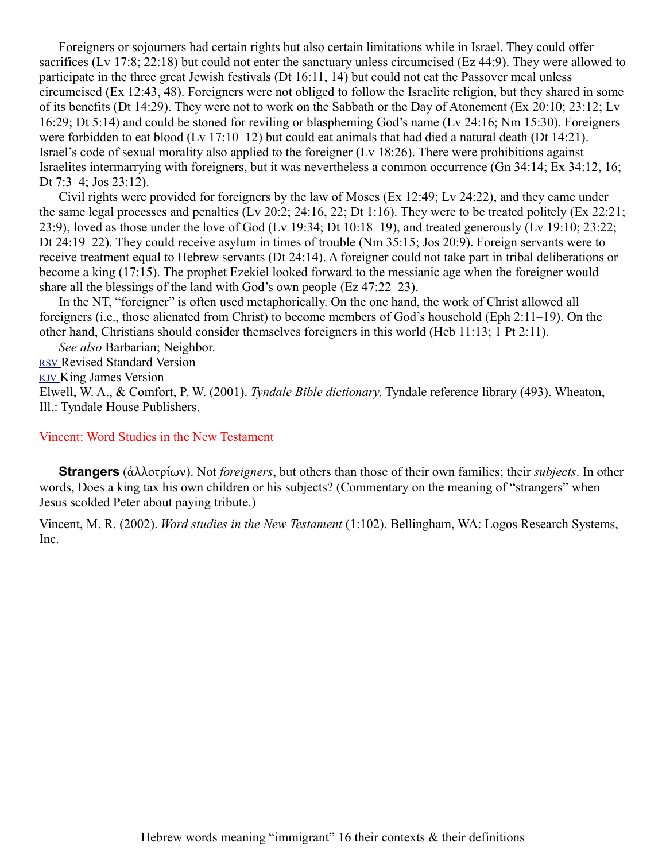Foreigners or sojourners had certain rights but also certain limitations while in Israel. They could offer sacrifices (Lv 17:8; 22:18) but could not enter the sanctuary unless circumcised (Ez 44:9). They were allowed to participate in the three great Jewish festivals (Dt 16:11, 14) but could not eat the Passover meal unless circumcised (Ex 12:43, 48). Foreigners were not obliged to follow the Israelite religion, but they shared in some of its benefits (Dt 14:29). They were not to work on the Sabbath or the Day of Atonement (Ex 20:10; 23:12; Lv 16:29; Dt 5:14) and could be stoned for reviling or blaspheming God's name (Lv 24:16; Nm 15:30). Foreigners were forbidden to eat blood (Lv 17:10–12) but could eat animals that had died a natural death (Dt 14:21). Israel's code of sexual morality also applied to the foreigner (Lv 18:26). There were prohibitions against Israelites intermarrying with foreigners, but it was nevertheless a common occurrence (Gn 34:14; Ex 34:12, 16; Dt 7:3–4; Jos 23:12).

Civil rights were provided for foreigners by the law of Moses (Ex 12:49; Lv 24:22), and they came under the same legal processes and penalties (Lv 20:2; 24:16, 22; Dt 1:16). They were to be treated politely (Ex 22:21; 23:9), loved as those under the love of God (Lv 19:34; Dt 10:18–19), and treated generously (Lv 19:10; 23:22; Dt 24:19–22). They could receive asylum in times of trouble (Nm 35:15; Jos 20:9). Foreign servants were to receive treatment equal to Hebrew servants (Dt 24:14). A foreigner could not take part in tribal deliberations or become a king (17:15). The prophet Ezekiel looked forward to the messianic age when the foreigner would share all the blessings of the land with God's own people (Ez 47:22–23).

In the NT, "foreigner" is often used metaphorically. On the one hand, the work of Christ allowed all foreigners (i.e., those alienated from Christ) to become members of God's household (Eph 2:11–19). On the other hand, Christians should consider themselves foreigners in this world (Heb 11:13; 1 Pt 2:11).

*See also* Barbarian; Neighbor.

[RSV](#page-2-1) Revised Standard Version

[KJV](#page-2-0) King James Version

Elwell, W. A., & Comfort, P. W. (2001). *Tyndale Bible dictionary*. Tyndale reference library (493). Wheaton, Ill.: Tyndale House Publishers.

Vincent: Word Studies in the New Testament

**Strangers** (ἀλλοτρίων). Not *foreigners*, but others than those of their own families; their *subjects*. In other words, Does a king tax his own children or his subjects? (Commentary on the meaning of "strangers" when Jesus scolded Peter about paying tribute.)

Vincent, M. R. (2002). *Word studies in the New Testament* (1:102). Bellingham, WA: Logos Research Systems, Inc.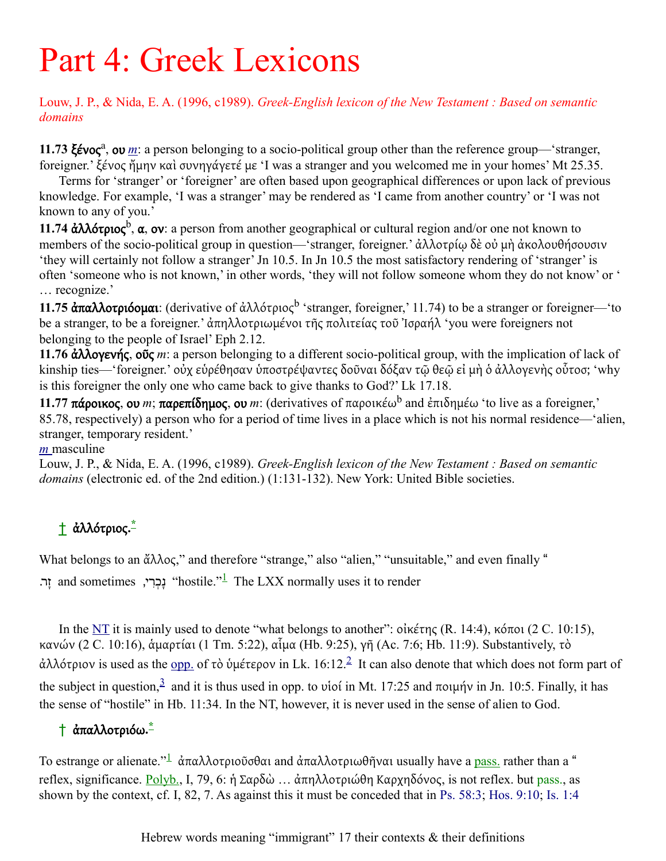# Part 4: Greek Lexicons

Louw, J. P., & Nida, E. A. (1996, c1989). *Greek-English lexicon of the New Testament : Based on semantic domains*

**11.73 ξένος<sup>a</sup>, ου** *[m](#page-12-1)*: a person belonging to a socio-political group other than the reference group—'stranger, foreigner.' ξένος ἤμην καὶ συνηγάγετέ με 'I was a stranger and you welcomed me in your homes' Mt 25.35.

Terms for 'stranger' or 'foreigner' are often based upon geographical differences or upon lack of previous knowledge. For example, 'I was a stranger' may be rendered as 'I came from another country' or 'I was not known to any of you.'

**11.74 ἀλλότριος<sup>b</sup>, α, ον**: a person from another geographical or cultural region and/or one not known to members of the socio-political group in question—'stranger, foreigner.' ἀλλοτρίῳ δὲ οὐ μὴ ἀκολουθήσουσιν 'they will certainly not follow a stranger' Jn 10.5. In Jn 10.5 the most satisfactory rendering of 'stranger' is often 'someone who is not known,' in other words, 'they will not follow someone whom they do not know' or ' … recognize.'

**11.75 άπαλλοτριόομαι**: (derivative of ἀλλότριος<sup>b</sup> 'stranger, foreigner,' 11.74) to be a stranger or foreigner—'to be a stranger, to be a foreigner.' ἀπηλλοτριωμένοι τῆς πολιτείας τοῦ Ἰσραήλ 'you were foreigners not belonging to the people of Israel' Eph 2.12.

**11.76** ἀλλογενής, οῦς *m*: a person belonging to a different socio-political group, with the implication of lack of kinship ties—'foreigner.' οὐχ εὑρέθησαν ὑποστρέψαντες δοῦναι δόξαν τῷ θεῷ εἰ μὴ ὁ ἀλλογενὴς οὗτοσ; 'why is this foreigner the only one who came back to give thanks to God?' Lk 17.18.

**11.77** πάροικος, ου *m*; παρεπίδημος, ου *m*: (derivatives of παροικέω<sup>b</sup> and ἐπιδημέω 'to live as a foreigner,' 85.78, respectively) a person who for a period of time lives in a place which is not his normal residence—'alien, stranger, temporary resident.'

*[m](#page-2-1)* masculine

Louw, J. P., & Nida, E. A. (1996, c1989). *Greek-English lexicon of the New Testament : Based on semantic domains* (electronic ed. of the 2nd edition.) (1:131-132). New York: United Bible societies.

# [†](#page-12-1) ἀλλότριος**. [\\*](#page-12-0)**

What belongs to an ἄλλος," and therefore "strange," also "alien," "unsuitable," and even finally " יָה: and sometimes נְכְרִי, shostile."<sup>[1](#page-13-3)</sup> The LXX normally uses it to render

In the [NT](#page-13-2) it is mainly used to denote "what belongs to another": οἰκέτης (R. 14:4), κόποι (2 C. 10:15), κανών (2 C. 10:16), ἁμαρτίαι (1 Tm. 5:22), αἷμα (Hb. 9:25), γῆ (Ac. 7:6; Hb. 11:9). Substantively, τὸ άλλότριον is used as the <u>opp.</u> of τὸ ὑμέτερον in Lk. 16:1[2](#page-13-0).<sup>2</sup> It can also denote that which does not form part of the subject in question,  $\frac{3}{2}$  $\frac{3}{2}$  $\frac{3}{2}$  and it is thus used in opp. to υἱοί in Mt. 17:25 and ποιμήν in Jn. 10:5. Finally, it has the sense of "hostile" in Hb. 11:34. In the NT, however, it is never used in the sense of alien to God.

# <span id="page-16-1"></span><span id="page-16-0"></span>† ἀπαλλοτριόω**. [\\*](#page-14-4)**

To estrange or alienate."<sup>[1](#page-14-3)</sup> άπαλλοτριοῦσθαι and ἀπαλλοτριωθῆναι usually have a [pass.](#page-18-1) rather than a " reflex, significance. [Polyb.,](#page-18-0) I, 79, 6: ἡ Σαρδὼ … ἀπηλλοτριώθη Καρχηδόνος, is not reflex. but pass., as shown by the context, cf. I, 82, 7. As against this it must be conceded that in Ps. 58:3; Hos. 9:10; Is. 1:4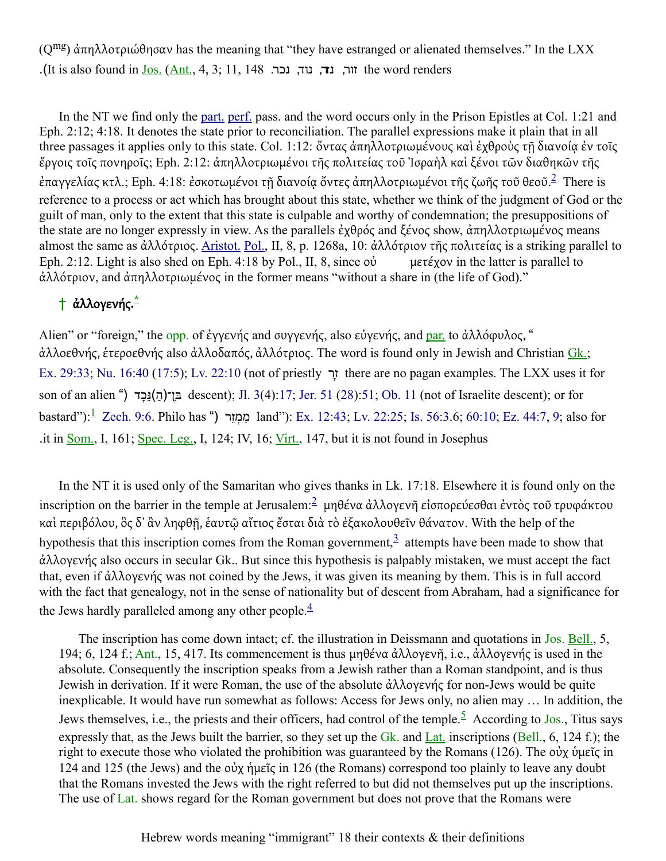<span id="page-17-6"></span><span id="page-17-5"></span><span id="page-17-4"></span><span id="page-17-3"></span>(Qmg) ἀπηλλοτριώθησαν has the meaning that "they have estranged or alienated themselves." In the LXX  $\alpha$ . (It is also found in [Jos.](#page-18-8) [\(Ant.,](#page-18-7) 4, 3; 11, 148  $\alpha$  .  $t$  . It is also found in Jos. (Ant., 4, 3; 11, 148

In the NT we find only the [part.](#page-18-6) [perf.](#page-18-5) pass. and the word occurs only in the Prison Epistles at Col. 1:21 and Eph. 2:12; 4:18. It denotes the state prior to reconciliation. The parallel expressions make it plain that in all three passages it applies only to this state. Col. 1:12: ὄντας ἀπηλλοτριωμένους καὶ ἐχθροὺς τῇ διανοίᾳ ἐν τοῖς ἔργοις τοῖς πονηροῖς; Eph. 2:12: ἀπηλλοτριωμένοι τῆς πολιτείας τοῦ Ἰσραὴλ καὶ ξένοι τῶν διαθηκῶν τῆς ἐπαγγελίας κτλ.; Eph. 4:18: ἐσκοτωμένοι τῇ διανοία̞ ὄντες ἀπηλλοτριωμένοι τῆς ζωῆς τοῦ θεοῦ. $^2~$  $^2~$  $^2~$  There is reference to a process or act which has brought about this state, whether we think of the judgment of God or the guilt of man, only to the extent that this state is culpable and worthy of condemnation; the presuppositions of the state are no longer expressly in view. As the parallels έχθρός and ξένος show, άπηλλοτριωμένος means almost the same as άλλότριος. <u>Aristot. Pol.</u>, II, 8, p. 1268a, 10: άλλότριον τῆς πολιτείας is a striking parallel to Eph. 2:12. Light is also shed on Eph. 4:18 by [Pol.,](#page-18-2) II, 8, since ού μετέχον in the latter is parallel Eph. 2:12. Light is also shed on Eph. 4:18 by Pol., II, 8, since  $o\dot{v}$  μετέχον in the latter is parallel to ἀλλότριον, and ἀπηλλοτριωμένος in the former means "without a share in (the life of God)."

# <span id="page-17-19"></span><span id="page-17-18"></span><span id="page-17-17"></span><span id="page-17-2"></span><span id="page-17-1"></span><span id="page-17-0"></span>† ἀλλογενής**. [\\*](#page-19-12)**

Alien" or "foreign," the opp. of ἐγγενής and συγγενής, also εὐγενής, and [par.](#page-19-11) to ἀλλόφυλος, " ἀλλοεθνής, ἑτεροεθνής also ἀλλοδαπός, ἀλλότριος. The word is found only in Jewish and Christian [Gk.;](#page-19-10) Ex. 29:33; Nu. 16:40 (17:5); Lv. 22:10 (not of priestly זכר there are no pagan examples. The LXX uses it for son of an alien ") בּז־(ה)נֵכד descent); Jl. 3(4):17; Jer. 51 (28):51; Ob. 11 (not of Israelite descent); or for bastard"): ") ר כָז מר כָמ land"): Ex. 12:43; Lv. 22:25; Is. 56:3.6; 60:10; Ez. 44:7, 9; also for [1](#page-19-9) Zech. 9:6. Philo has .it in [Som.,](#page-19-8) I, 161; [Spec. Leg.,](#page-19-7) I, 124; IV, 16; [Virt.,](#page-19-6) 147, but it is not found in Josephus

<span id="page-17-16"></span><span id="page-17-15"></span><span id="page-17-14"></span><span id="page-17-13"></span><span id="page-17-12"></span>In the NT it is used only of the Samaritan who gives thanks in Lk. 17:18. Elsewhere it is found only on the inscription on the barrier in the temple at Jerusalem:<sup>[2](#page-19-5)</sup> μηθένα ἀλλογενῆ εἰσπορεύεσθαι ἐντὸς τοῦ τρυφάκτου καὶ περιβόλου, ὃς δ' ἂν ληφθῇ, ἑαυτῷ αἴτιος ἔσται διὰ τὸ ἐξακολουθεῖν θάνατον. With the help of the hypothesis that this inscription comes from the Roman government,  $\frac{3}{2}$  $\frac{3}{2}$  $\frac{3}{2}$  attempts have been made to show that ἀλλογενής also occurs in secular Gk.. But since this hypothesis is palpably mistaken, we must accept the fact that, even if ἀλλογενής was not coined by the Jews, it was given its meaning by them. This is in full accord with the fact that genealogy, not in the sense of nationality but of descent from Abraham, had a significance for the Jews hardly paralleled among any other people. $\frac{4}{3}$  $\frac{4}{3}$  $\frac{4}{3}$ 

<span id="page-17-11"></span><span id="page-17-10"></span><span id="page-17-9"></span><span id="page-17-8"></span><span id="page-17-7"></span>The inscription has come down intact; cf. the illustration in Deissmann and quotations in Jos. [Bell.,](#page-19-2) 5, 194; 6, 124 f.; Ant., 15, 417. Its commencement is thus μηθένα ἀλλογενῆ, i.e., ἀλλογενής is used in the absolute. Consequently the inscription speaks from a Jewish rather than a Roman standpoint, and is thus Jewish in derivation. If it were Roman, the use of the absolute ἀλλογενής for non-Jews would be quite inexplicable. It would have run somewhat as follows: Access for Jews only, no alien may … In addition, the Jews themselves, i.e., the priests and their officers, had control of the temple.<sup>[5](#page-19-1)</sup> According to Jos., Titus says expressly that, as the Jews built the barrier, so they set up the Gk. and [Lat.](#page-19-0) inscriptions (Bell., 6, 124 f.); the right to execute those who violated the prohibition was guaranteed by the Romans (126). The οὐχ ὑμεῖς in 124 and 125 (the Jews) and the οὐχ ἡμεῖς in 126 (the Romans) correspond too plainly to leave any doubt that the Romans invested the Jews with the right referred to but did not themselves put up the inscriptions. The use of Lat. shows regard for the Roman government but does not prove that the Romans were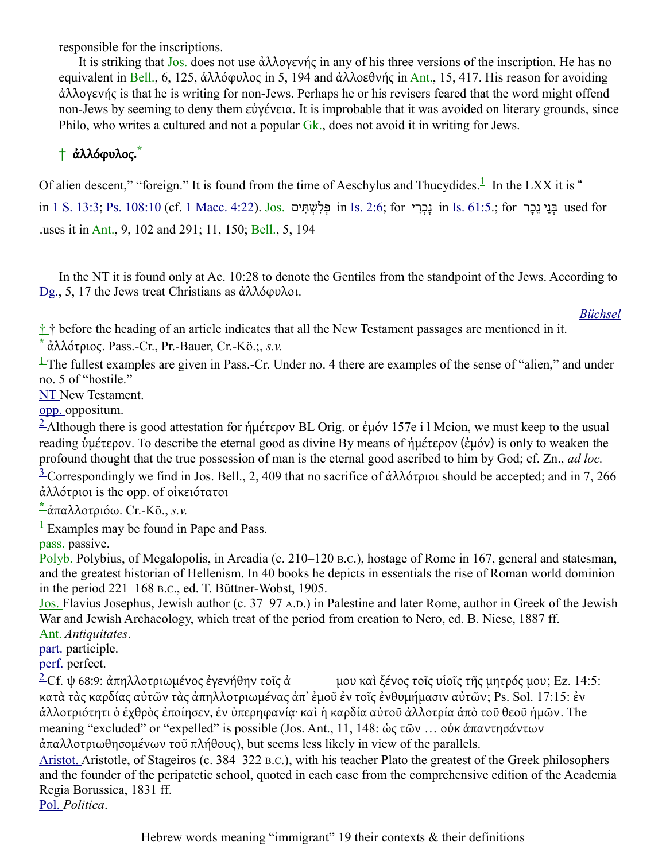responsible for the inscriptions.

It is striking that Jos. does not use ἀλλογενής in any of his three versions of the inscription. He has no equivalent in Bell., 6, 125, ἀλλόφυλος in 5, 194 and ἀλλοεθνής in Ant., 15, 417. His reason for avoiding ἀλλογενής is that he is writing for non-Jews. Perhaps he or his revisers feared that the word might offend non-Jews by seeming to deny them εὐγένεια. It is improbable that it was avoided on literary grounds, since Philo, who writes a cultured and not a popular Gk., does not avoid it in writing for Jews.

# <span id="page-18-12"></span>† ἀλλόφυλος**. [\\*](#page-19-16)**

Of alien descent," "foreign." It is found from the time of Aeschylus and Thucydides. $\frac{1}{2}$  $\frac{1}{2}$  $\frac{1}{2}$  In the LXX it is "

for בְּנֵי נֵכָר in Is. 2:6; for נַכְרִי in Is. 61:5.; for פְּלִשְׁתִּים .Jos .) 4:22 .in Is .61:5.; for בְּנֵי נֵכָר .uses it in Ant., 9, 102 and 291; 11, 150; Bell., 5, 194

<span id="page-18-10"></span>In the NT it is found only at Ac. 10:28 to denote the Gentiles from the standpoint of the Jews. According to [Dg.,](#page-19-14) 5, 17 the Jews treat Christians as ἀλλόφυλοι.

<span id="page-18-11"></span><span id="page-18-9"></span>*[Büchsel](#page-19-13)*

 $\dagger$   $\dagger$  before the heading of an article indicates that all the New Testament passages are mentioned in it.

**[\\*](#page-2-0)** ἀλλότριος. Pass.-Cr., Pr.-Bauer, Cr.-Kö.;, *s.v.*

 $\perp$ The fullest examples are given in Pass.-Cr. Under no. 4 there are examples of the sense of "alien," and under no. 5 of "hostile."

[NT N](#page-2-3)ew Testament.

[opp. o](#page-2-2)ppositum.

<sup>2</sup> Although there is good attestation for ήμέτερον BL Orig. or έμόν 157e i l Mcion, we must keep to the usual reading ὑμέτερον. To describe the eternal good as divine By means of ἡμέτερον (ἐμόν) is only to weaken the profound thought that the true possession of man is the eternal good ascribed to him by God; cf. Zn., *ad loc.* <sup>3</sup> Correspondingly we find in Jos. Bell., 2, 409 that no sacrifice of  $\dot{\alpha} \lambda \lambda$  (to a should be accepted; and in 7, 266

ἀλλότριοι is the opp. of οἰκειότατοι

**[\\*](#page-14-1)** ἀπαλλοτριόω. Cr.-Kö., *s.v.*

 $\frac{1}{2}$ Examples may be found in Pape and Pass.

<span id="page-18-1"></span>[pass. p](#page-16-1)assive.

<span id="page-18-0"></span>[Polyb. P](#page-16-0)olybius, of Megalopolis, in Arcadia (c. 210–120 B.C.), hostage of Rome in 167, general and statesman, and the greatest historian of Hellenism. In 40 books he depicts in essentials the rise of Roman world dominion in the period 221–168 B.C., ed. T. Büttner-Wobst, 1905.

<span id="page-18-8"></span>[Jos. F](#page-17-6)lavius Josephus, Jewish author (c. 37–97 A.D.) in Palestine and later Rome, author in Greek of the Jewish War and Jewish Archaeology, which treat of the period from creation to Nero, ed. B. Niese, 1887 ff. [Ant.](#page-17-5) *Antiquitates*.

<span id="page-18-7"></span><span id="page-18-6"></span>[part. p](#page-17-4)articiple.

<span id="page-18-5"></span><span id="page-18-4"></span>[perf. p](#page-17-3)erfect.

 $^2$ Cf. ψ 68:9: ἀπηλλοτριωμένος ἐγενήθην τοῖς ἀ $\qquad \qquad \mu$ ου καὶ ξένος τοῖς υἱοῖς τῆς μητρός μου; Ez. 14:5: κατὰ τὰς καρδίας αὐτῶν τὰς ἀπηλλοτριωμένας ἀπ' ἐμοῦ ἐν τοῖς ἐνθυμήμασιν αὐτῶν; Ps. Sol. 17:15: ἐν ἀλλοτριότητι ὁ ἐχθρὸς ἐποίησεν, ἐν ὑπερηφανίᾳ· καὶ ἡ καρδία αὐτοῦ ἀλλοτρία ἀπὸ τοῦ θεοῦ ἡμῶν. The meaning "excluded" or "expelled" is possible (Jos. Ant., 11, 148: ὡς τῶν … οὐκ ἀπαντησάντων ἀπαλλοτριωθησομένων τοῦ πλήθους), but seems less likely in view of the parallels.

<span id="page-18-3"></span>[Aristot. A](#page-17-1)ristotle, of Stageiros (c. 384–322 B.C.), with his teacher Plato the greatest of the Greek philosophers and the founder of the peripatetic school, quoted in each case from the comprehensive edition of the Academia Regia Borussica, 1831 ff.

<span id="page-18-2"></span>[Pol.](#page-17-0) *Politica*.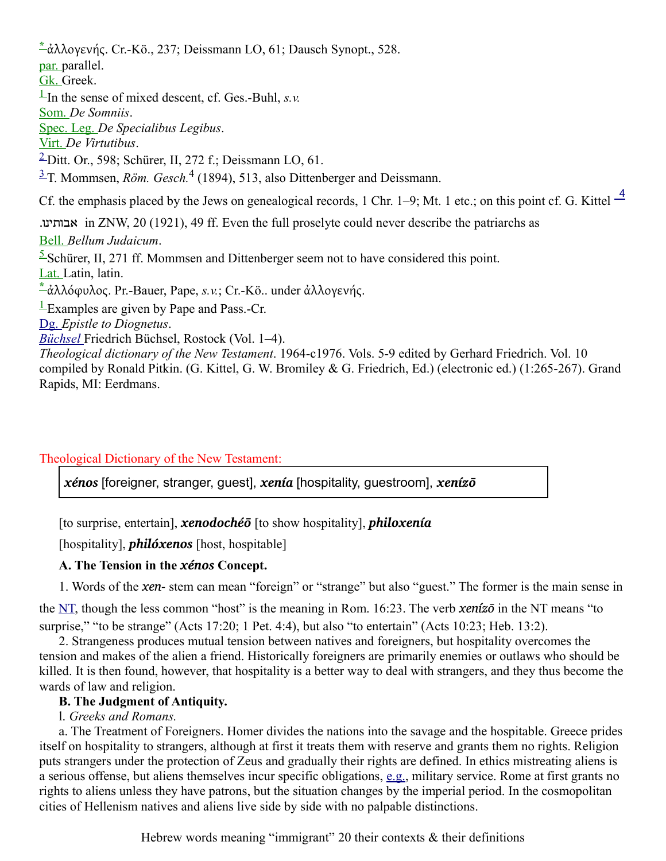<span id="page-19-12"></span><span id="page-19-11"></span><span id="page-19-10"></span><span id="page-19-9"></span><span id="page-19-8"></span><span id="page-19-7"></span><span id="page-19-6"></span><span id="page-19-5"></span><span id="page-19-4"></span><span id="page-19-3"></span>**[\\*](#page-17-19)** ἀλλογενής. Cr.-Kö., 237; Deissmann LO, 61; Dausch Synopt., 528. [par. p](#page-17-18)arallel. [Gk. G](#page-17-17)reek.  $\frac{1}{2}$ In the sense of mixed descent, cf. Ges.-Buhl, *s.v.* [Som.](#page-17-15) *De Somniis*. [Spec. Leg.](#page-17-14) *De Specialibus Legibus*. [Virt.](#page-17-13) *De Virtutibus*.  $2$ -Ditt. Or., 598; Schürer, II, 27[2](#page-17-12) f.; Deissmann LO, 61. [3](#page-17-11) T. Mommsen, *Röm. Gesch.*<sup>4</sup> (1894), 513, also Dittenberger and Deissmann. Cf. the emphasis placed by the Jews on genealogical records, 1 Chr. 1–9; Mt. 1 etc.; on this point cf. G. Kittel  $\frac{4}{3}$  $\frac{4}{3}$  $\frac{4}{3}$ .אבותינו in ZNW, 20 (1921), 49 ff. Even the full proselyte could never describe the patriarchs as [Bell.](#page-17-9) *Bellum Judaicum*.  $\frac{5}{2}$ Schürer, II, 271 ff. Mommsen and Dittenberger seem not to have considered this point. [Lat. L](#page-17-7)atin, latin. **[\\*](#page-18-12)** ἀλλόφυλος. Pr.-Bauer, Pape, *s.v.*; Cr.-Kö.. under ἀλλογενής.  $\frac{1}{2}$ Examples are given by Pape and Pass.-Cr. [Dg.](#page-18-10) *Epistle to Diognetus*. *[Büchsel](#page-18-9)* Friedrich Büchsel, Rostock (Vol. 1–4). *Theological dictionary of the New Testament*. 1964-c1976. Vols. 5-9 edited by Gerhard Friedrich. Vol. 10 compiled by Ronald Pitkin. (G. Kittel, G. W. Bromiley & G. Friedrich, Ed.) (electronic ed.) (1:265-267). Grand

<span id="page-19-16"></span><span id="page-19-15"></span><span id="page-19-14"></span><span id="page-19-13"></span><span id="page-19-2"></span><span id="page-19-1"></span><span id="page-19-0"></span>Rapids, MI: Eerdmans.

# Theological Dictionary of the New Testament:

*xénos* [foreigner, stranger, guest], *xenía* [hospitality, guestroom], *xenízō*

[to surprise, entertain], *xenodochéō* [to show hospitality], *philoxenía*

[hospitality], *philóxenos* [host, hospitable]

# **A. The Tension in the** *xénos* **Concept.**

1. Words of the *xen-* stem can mean "foreign" or "strange" but also "guest." The former is the main sense in

the [NT,](#page-12-1) though the less common "host" is the meaning in Rom. 16:23. The verb *xenízō* in the NT means "to surprise," "to be strange" (Acts 17:20; 1 Pet. 4:4), but also "to entertain" (Acts 10:23; Heb. 13:2).

2. Strangeness produces mutual tension between natives and foreigners, but hospitality overcomes the tension and makes of the alien a friend. Historically foreigners are primarily enemies or outlaws who should be killed. It is then found, however, that hospitality is a better way to deal with strangers, and they thus become the wards of law and religion.

# **B. The Judgment of Antiquity.**

# l. *Greeks and Romans.*

a. The Treatment of Foreigners. Homer divides the nations into the savage and the hospitable. Greece prides itself on hospitality to strangers, although at first it treats them with reserve and grants them no rights. Religion puts strangers under the protection of Zeus and gradually their rights are defined. In ethics mistreating aliens is a serious offense, but aliens themselves incur specific obligations, [e.g.,](#page-12-0) military service. Rome at first grants no rights to aliens unless they have patrons, but the situation changes by the imperial period. In the cosmopolitan cities of Hellenism natives and aliens live side by side with no palpable distinctions.

Hebrew words meaning "immigrant" 20 their contexts  $\&$  their definitions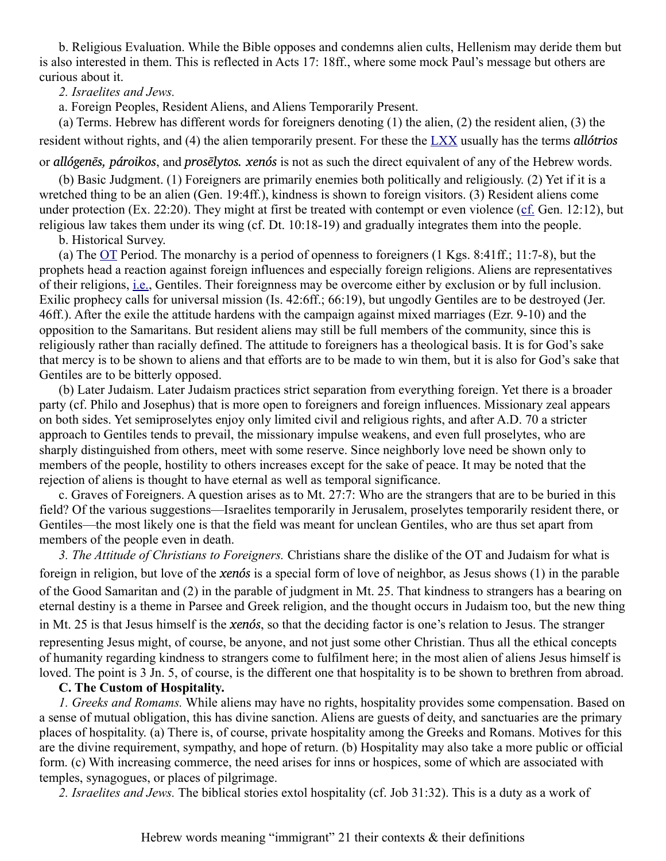b. Religious Evaluation. While the Bible opposes and condemns alien cults, Hellenism may deride them but is also interested in them. This is reflected in Acts 17: 18ff., where some mock Paul's message but others are curious about it.

*2. Israelites and Jews.*

a. Foreign Peoples, Resident Aliens, and Aliens Temporarily Present.

(a) Terms. Hebrew has different words for foreigners denoting (1) the alien, (2) the resident alien, (3) the resident without rights, and (4) the alien temporarily present. For these the [LXX](#page-13-3) usually has the terms *allótrios*

### or *allógenēs, pároikos*, and *prosēlytos. xenós* is not as such the direct equivalent of any of the Hebrew words.

(b) Basic Judgment. (1) Foreigners are primarily enemies both politically and religiously. (2) Yet if it is a wretched thing to be an alien (Gen. 19:4ff.), kindness is shown to foreign visitors. (3) Resident aliens come under protection (Ex. 22:20). They might at first be treated with contempt or even violence [\(cf.](#page-13-2) Gen. 12:12), but religious law takes them under its wing (cf. Dt. 10:18-19) and gradually integrates them into the people.

b. Historical Survey.

(a) The [OT](#page-13-1) Period. The monarchy is a period of openness to foreigners (1 Kgs. 8:41ff.; 11:7-8), but the prophets head a reaction against foreign influences and especially foreign religions. Aliens are representatives of their religions, [i.e.,](#page-13-0) Gentiles. Their foreignness may be overcome either by exclusion or by full inclusion. Exilic prophecy calls for universal mission (Is. 42:6ff.; 66:19), but ungodly Gentiles are to be destroyed (Jer. 46ff.). After the exile the attitude hardens with the campaign against mixed marriages (Ezr. 9-10) and the opposition to the Samaritans. But resident aliens may still be full members of the community, since this is religiously rather than racially defined. The attitude to foreigners has a theological basis. It is for God's sake that mercy is to be shown to aliens and that efforts are to be made to win them, but it is also for God's sake that Gentiles are to be bitterly opposed.

(b) Later Judaism. Later Judaism practices strict separation from everything foreign. Yet there is a broader party (cf. Philo and Josephus) that is more open to foreigners and foreign influences. Missionary zeal appears on both sides. Yet semiproselytes enjoy only limited civil and religious rights, and after A.D. 70 a stricter approach to Gentiles tends to prevail, the missionary impulse weakens, and even full proselytes, who are sharply distinguished from others, meet with some reserve. Since neighborly love need be shown only to members of the people, hostility to others increases except for the sake of peace. It may be noted that the rejection of aliens is thought to have eternal as well as temporal significance.

c. Graves of Foreigners. A question arises as to Mt. 27:7: Who are the strangers that are to be buried in this field? Of the various suggestions—Israelites temporarily in Jerusalem, proselytes temporarily resident there, or Gentiles—the most likely one is that the field was meant for unclean Gentiles, who are thus set apart from members of the people even in death.

*3. The Attitude of Christians to Foreigners.* Christians share the dislike of the OT and Judaism for what is foreign in religion, but love of the *xenós* is a special form of love of neighbor, as Jesus shows (1) in the parable of the Good Samaritan and (2) in the parable of judgment in Mt. 25. That kindness to strangers has a bearing on eternal destiny is a theme in Parsee and Greek religion, and the thought occurs in Judaism too, but the new thing in Mt. 25 is that Jesus himself is the *xenós*, so that the deciding factor is one's relation to Jesus. The stranger representing Jesus might, of course, be anyone, and not just some other Christian. Thus all the ethical concepts of humanity regarding kindness to strangers come to fulfilment here; in the most alien of aliens Jesus himself is loved. The point is 3 Jn. 5, of course, is the different one that hospitality is to be shown to brethren from abroad.

### **C. The Custom of Hospitality.**

*1. Greeks and Romams.* While aliens may have no rights, hospitality provides some compensation. Based on a sense of mutual obligation, this has divine sanction. Aliens are guests of deity, and sanctuaries are the primary places of hospitality. (a) There is, of course, private hospitality among the Greeks and Romans. Motives for this are the divine requirement, sympathy, and hope of return. (b) Hospitality may also take a more public or official form. (c) With increasing commerce, the need arises for inns or hospices, some of which are associated with temples, synagogues, or places of pilgrimage.

*2. Israelites and Jews.* The biblical stories extol hospitality (cf. Job 31:32). This is a duty as a work of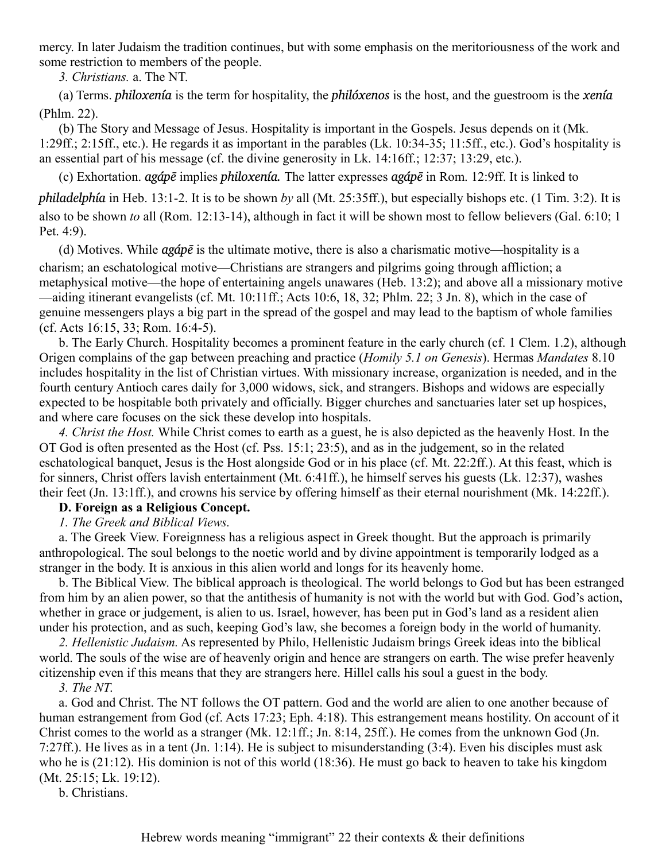mercy. In later Judaism the tradition continues, but with some emphasis on the meritoriousness of the work and some restriction to members of the people.

*3. Christians.* a. The NT.

(a) Terms. *philoxenía* is the term for hospitality, the *philóxenos* is the host, and the guestroom is the *xenía* (Phlm. 22).

(b) The Story and Message of Jesus. Hospitality is important in the Gospels. Jesus depends on it (Mk. 1:29ff.; 2:15ff., etc.). He regards it as important in the parables (Lk. 10:34-35; 11:5ff., etc.). God's hospitality is an essential part of his message (cf. the divine generosity in Lk. 14:16ff.; 12:37; 13:29, etc.).

(c) Exhortation. *agápē* implies *philoxenía.* The latter expresses *agápē* in Rom. 12:9ff. It is linked to

*philadelphía* in Heb. 13:1-2. It is to be shown *by* all (Mt. 25:35ff.), but especially bishops etc. (1 Tim. 3:2). It is also to be shown *to* all (Rom. 12:13-14), although in fact it will be shown most to fellow believers (Gal. 6:10; 1 Pet. 4:9).

(d) Motives. While *agápē* is the ultimate motive, there is also a charismatic motive—hospitality is a charism; an eschatological motive—Christians are strangers and pilgrims going through affliction; a metaphysical motive—the hope of entertaining angels unawares (Heb. 13:2); and above all a missionary motive —aiding itinerant evangelists (cf. Mt. 10:11ff.; Acts 10:6, 18, 32; Phlm. 22; 3 Jn. 8), which in the case of genuine messengers plays a big part in the spread of the gospel and may lead to the baptism of whole families (cf. Acts 16:15, 33; Rom. 16:4-5).

b. The Early Church. Hospitality becomes a prominent feature in the early church (cf. 1 Clem. 1.2), although Origen complains of the gap between preaching and practice (*Homily 5.1 on Genesis*). Hermas *Mandates* 8.10 includes hospitality in the list of Christian virtues. With missionary increase, organization is needed, and in the fourth century Antioch cares daily for 3,000 widows, sick, and strangers. Bishops and widows are especially expected to be hospitable both privately and officially. Bigger churches and sanctuaries later set up hospices, and where care focuses on the sick these develop into hospitals.

*4. Christ the Host.* While Christ comes to earth as a guest, he is also depicted as the heavenly Host. In the OT God is often presented as the Host (cf. Pss. 15:1; 23:5), and as in the judgement, so in the related eschatological banquet, Jesus is the Host alongside God or in his place (cf. Mt. 22:2ff.). At this feast, which is for sinners, Christ offers lavish entertainment (Mt. 6:41ff.), he himself serves his guests (Lk. 12:37), washes their feet (Jn. 13:1ff.), and crowns his service by offering himself as their eternal nourishment (Mk. 14:22ff.).

#### **D. Foreign as a Religious Concept.**

*1. The Greek and Biblical Views.*

a. The Greek View. Foreignness has a religious aspect in Greek thought. But the approach is primarily anthropological. The soul belongs to the noetic world and by divine appointment is temporarily lodged as a stranger in the body. It is anxious in this alien world and longs for its heavenly home.

b. The Biblical View. The biblical approach is theological. The world belongs to God but has been estranged from him by an alien power, so that the antithesis of humanity is not with the world but with God. God's action, whether in grace or judgement, is alien to us. Israel, however, has been put in God's land as a resident alien under his protection, and as such, keeping God's law, she becomes a foreign body in the world of humanity.

*2. Hellenistic Judaism.* As represented by Philo, Hellenistic Judaism brings Greek ideas into the biblical world. The souls of the wise are of heavenly origin and hence are strangers on earth. The wise prefer heavenly citizenship even if this means that they are strangers here. Hillel calls his soul a guest in the body.

*3. The NT*.

a. God and Christ. The NT follows the OT pattern. God and the world are alien to one another because of human estrangement from God (cf. Acts 17:23; Eph. 4:18). This estrangement means hostility. On account of it Christ comes to the world as a stranger (Mk. 12:1ff.; Jn. 8:14, 25ff.). He comes from the unknown God (Jn. 7:27ff.). He lives as in a tent (Jn. 1:14). He is subject to misunderstanding (3:4). Even his disciples must ask who he is (21:12). His dominion is not of this world (18:36). He must go back to heaven to take his kingdom (Mt. 25:15; Lk. 19:12).

b. Christians.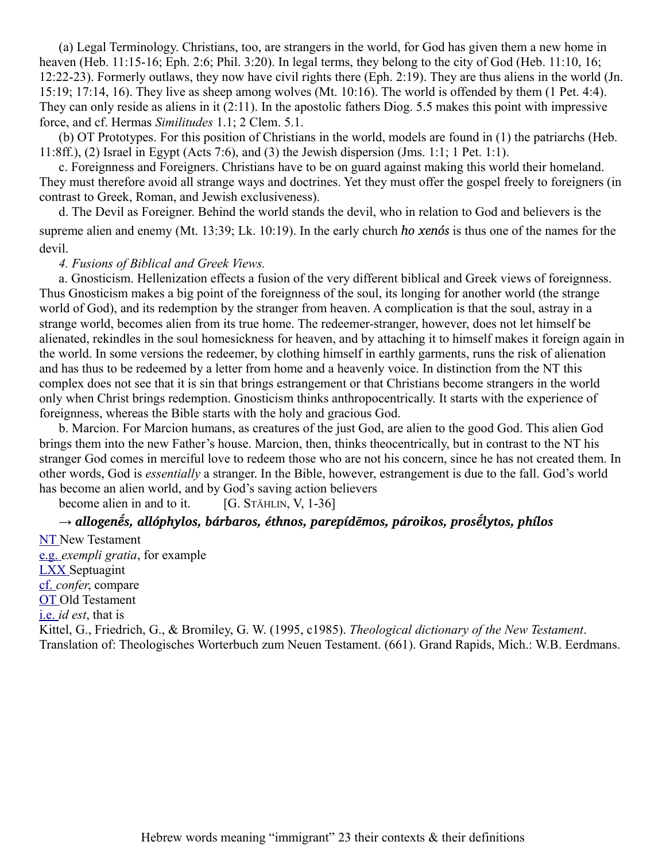(a) Legal Terminology. Christians, too, are strangers in the world, for God has given them a new home in heaven (Heb. 11:15-16; Eph. 2:6; Phil. 3:20). In legal terms, they belong to the city of God (Heb. 11:10, 16; 12:22-23). Formerly outlaws, they now have civil rights there (Eph. 2:19). They are thus aliens in the world (Jn. 15:19; 17:14, 16). They live as sheep among wolves (Mt. 10:16). The world is offended by them (1 Pet. 4:4). They can only reside as aliens in it (2:11). In the apostolic fathers Diog. 5.5 makes this point with impressive force, and cf. Hermas *Similitudes* 1.1; 2 Clem. 5.1.

(b) OT Prototypes. For this position of Christians in the world, models are found in (1) the patriarchs (Heb. 11:8ff.), (2) Israel in Egypt (Acts 7:6), and (3) the Jewish dispersion (Jms. 1:1; 1 Pet. 1:1).

c. Foreignness and Foreigners. Christians have to be on guard against making this world their homeland. They must therefore avoid all strange ways and doctrines. Yet they must offer the gospel freely to foreigners (in contrast to Greek, Roman, and Jewish exclusiveness).

d. The Devil as Foreigner. Behind the world stands the devil, who in relation to God and believers is the supreme alien and enemy (Mt. 13:39; Lk. 10:19). In the early church *ho xenós* is thus one of the names for the devil.

*4. Fusions of Biblical and Greek Views.*

a. Gnosticism. Hellenization effects a fusion of the very different biblical and Greek views of foreignness. Thus Gnosticism makes a big point of the foreignness of the soul, its longing for another world (the strange world of God), and its redemption by the stranger from heaven. A complication is that the soul, astray in a strange world, becomes alien from its true home. The redeemer-stranger, however, does not let himself be alienated, rekindles in the soul homesickness for heaven, and by attaching it to himself makes it foreign again in the world. In some versions the redeemer, by clothing himself in earthly garments, runs the risk of alienation and has thus to be redeemed by a letter from home and a heavenly voice. In distinction from the NT this complex does not see that it is sin that brings estrangement or that Christians become strangers in the world only when Christ brings redemption. Gnosticism thinks anthropocentrically. It starts with the experience of foreignness, whereas the Bible starts with the holy and gracious God.

b. Marcion. For Marcion humans, as creatures of the just God, are alien to the good God. This alien God brings them into the new Father's house. Marcion, then, thinks theocentrically, but in contrast to the NT his stranger God comes in merciful love to redeem those who are not his concern, since he has not created them. In other words, God is *essentially* a stranger. In the Bible, however, estrangement is due to the fall. God's world has become an alien world, and by God's saving action believers

become alien in and to it. [G. STÄHLIN, V, 1-36]

# → *allogenḗs, allóphylos, bárbaros, éthnos, parepídēmos, pároikos, prosḗlytos, phílos*

[NT N](#page-2-1)ew Testament [e.g.](#page-2-0) *exempli gratia*, for example [LXX S](#page-2-4)eptuagint [cf.](#page-2-3) *confer*, compare [OT O](#page-2-2)ld Testament [i.e.](#page-1-0) *id est*, that is Kittel, G., Friedrich, G., & Bromiley, G. W. (1995, c1985). *Theological dictionary of the New Testament*. Translation of: Theologisches Worterbuch zum Neuen Testament. (661). Grand Rapids, Mich.: W.B. Eerdmans.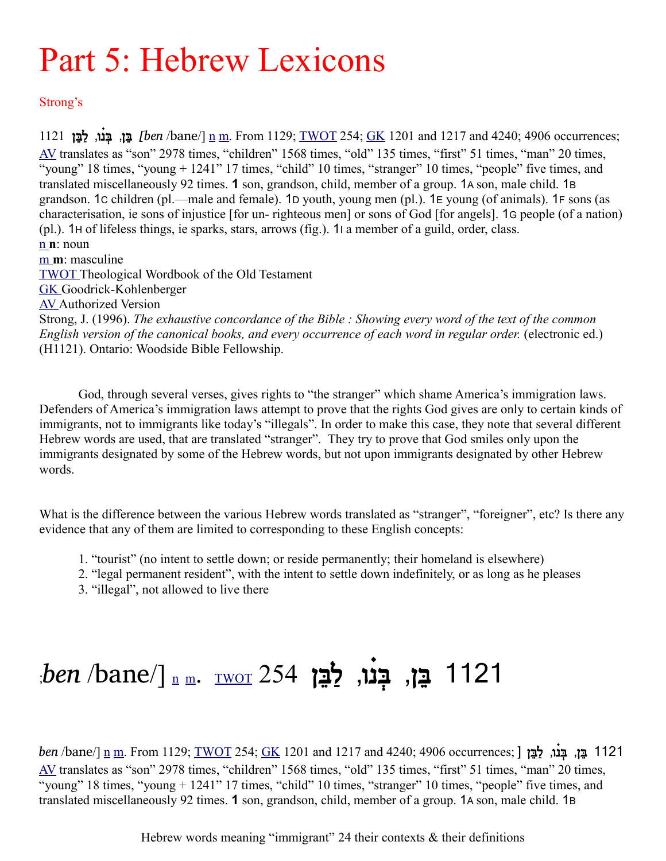# Part 5: Hebrew Lexicons

# Strong's

 ;occurrences 4906; 4240 and 1217 and 1201 [GK](#page-13-2);254 [TWOT](#page-13-3);1129 From [.m](#page-12-0) [n](#page-12-1)]/bane/ *ben [*בָכ ן, בר נו ו, לָכ בָכ ן1121 [AV](#page-13-1) translates as "son" 2978 times, "children" 1568 times, "old" 135 times, "first" 51 times, "man" 20 times, "young" 18 times, "young + 1241" 17 times, "child" 10 times, "stranger" 10 times, "people" five times, and translated miscellaneously 92 times. **1** son, grandson, child, member of a group. 1A son, male child. 1B grandson. 1C children (pl.—male and female). 1D youth, young men (pl.). 1E young (of animals). 1F sons (as characterisation, ie sons of injustice [for un- righteous men] or sons of God [for angels]. 1G people (of a nation) (pl.). 1H of lifeless things, ie sparks, stars, arrows (fig.). 1I a member of a guild, order, class. [n](#page-2-1) **n**: noun [m](#page-2-0) **m**: masculine [TWOT T](#page-2-4)heological Wordbook of the Old Testament [GK G](#page-2-3)oodrick-Kohlenberger [AV A](#page-2-2)uthorized Version Strong, J. (1996). *The exhaustive concordance of the Bible : Showing every word of the text of the common English version of the canonical books, and every occurrence of each word in regular order.* (electronic ed.) (H1121). Ontario: Woodside Bible Fellowship.

God, through several verses, gives rights to "the stranger" which shame America's immigration laws. Defenders of America's immigration laws attempt to prove that the rights God gives are only to certain kinds of immigrants, not to immigrants like today's "illegals". In order to make this case, they note that several different Hebrew words are used, that are translated "stranger". They try to prove that God smiles only upon the immigrants designated by some of the Hebrew words, but not upon immigrants designated by other Hebrew words.

What is the difference between the various Hebrew words translated as "stranger", "foreigner", etc? Is there any evidence that any of them are limited to corresponding to these English concepts:

- 1. "tourist" (no intent to settle down; or reside permanently; their homeland is elsewhere)
- 2. "legal permanent resident", with the intent to settle down indefinitely, or as long as he pleases
- 3. "illegal", not allowed to live there

# 1121 בָכ ן, בר נו ו, לָכ בָכ ן 254 [TWOT](#page-13-3) .[m](#page-12-0) [n](#page-12-1)] /bane/ *ben*;

 $ben$  $ben$ /bane/] בֵּל, בְּנْו, לַבֵּל [ ;<u>om 1129; TWOT</u> 254; [GK](#page-13-2)1201 and 1217 and 4240; 4906 occurrences [AV](#page-13-1) translates as "son" 2978 times, "children" 1568 times, "old" 135 times, "first" 51 times, "man" 20 times, "young" 18 times, "young + 1241" 17 times, "child" 10 times, "stranger" 10 times, "people" five times, and translated miscellaneously 92 times. **1** son, grandson, child, member of a group. 1A son, male child. 1B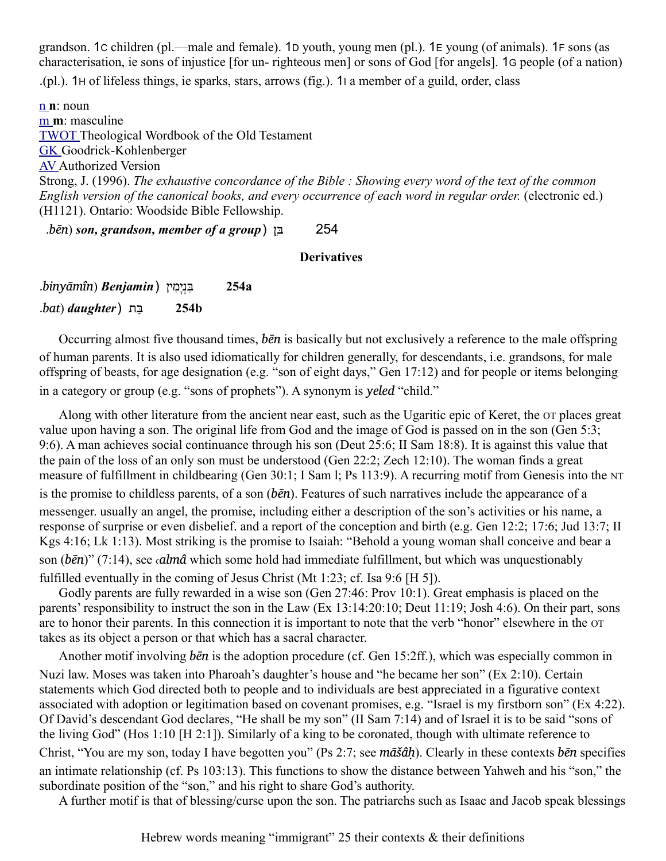grandson. 1C children (pl.—male and female). 1D youth, young men (pl.). 1E young (of animals). 1F sons (as characterisation, ie sons of injustice [for un- righteous men] or sons of God [for angels]. 1G people (of a nation)

.(pl.). 1<sup>H</sup> of lifeless things, ie sparks, stars, arrows (fig.). 1<sup>I</sup> a member of a guild, order, class

[n](#page-2-1) **n**: noun [m](#page-2-0) **m**: masculine [TWOT T](#page-2-4)heological Wordbook of the Old Testament [GK G](#page-2-3)oodrick-Kohlenberger [AV A](#page-2-2)uthorized Version Strong, J. (1996). *The exhaustive concordance of the Bible : Showing every word of the text of the common English version of the canonical books, and every occurrence of each word in regular order.* (electronic ed.) (H1121). Ontario: Woodside Bible Fellowship.

.*bēn*) *son, grandson, member of a group*) כןָב 254

#### **Derivatives**

**a254** בי נר יכמי ין (*Benjamin*) *n̂binyāmı*. **b254** בָכ ת (*daughter*) *bat*.

Occurring almost five thousand times, *bēn* is basically but not exclusively a reference to the male offspring of human parents. It is also used idiomatically for children generally, for descendants, i.e. grandsons, for male offspring of beasts, for age designation (e.g. "son of eight days," Gen 17:12) and for people or items belonging in a category or group (e.g. "sons of prophets"). A synonym is *yeled* "child."

Along with other literature from the ancient near east, such as the Ugaritic epic of Keret, the OT places great value upon having a son. The original life from God and the image of God is passed on in the son (Gen 5:3; 9:6). A man achieves social continuance through his son (Deut 25:6; II Sam 18:8). It is against this value that the pain of the loss of an only son must be understood (Gen 22:2; Zech 12:10). The woman finds a great measure of fulfillment in childbearing (Gen 30:1; I Sam l; Ps 113:9). A recurring motif from Genesis into the NT is the promise to childless parents, of a son (*bēn*). Features of such narratives include the appearance of a messenger. usually an angel, the promise, including either a description of the son's activities or his name, a response of surprise or even disbelief. and a report of the conception and birth (e.g. Gen 12:2; 17:6; Jud 13:7; II Kgs 4:16; Lk 1:13). Most striking is the promise to Isaiah: "Behold a young woman shall conceive and bear a son (*bēn*)" (7:14), see *˓almâ* which some hold had immediate fulfillment, but which was unquestionably fulfilled eventually in the coming of Jesus Christ (Mt 1:23; cf. Isa 9:6 [H 5]).

Godly parents are fully rewarded in a wise son (Gen 27:46: Prov 10:1). Great emphasis is placed on the parents' responsibility to instruct the son in the Law (Ex 13:14:20:10; Deut 11:19; Josh 4:6). On their part, sons are to honor their parents. In this connection it is important to note that the verb "honor" elsewhere in the OT takes as its object a person or that which has a sacral character.

Another motif involving *bēn* is the adoption procedure (cf. Gen 15:2ff.), which was especially common in Nuzi law. Moses was taken into Pharoah's daughter's house and "he became her son" (Ex 2:10). Certain statements which God directed both to people and to individuals are best appreciated in a figurative context associated with adoption or legitimation based on covenant promises, e.g. "Israel is my firstborn son" (Ex 4:22). Of David's descendant God declares, "He shall be my son" (II Sam 7:14) and of Israel it is to be said "sons of the living God" (Hos 1:10 [H 2:1]). Similarly of a king to be coronated, though with ultimate reference to Christ, "You are my son, today I have begotten you" (Ps 2:7; see *māšâḥ*). Clearly in these contexts *bēn* specifies an intimate relationship (cf. Ps 103:13). This functions to show the distance between Yahweh and his "son," the subordinate position of the "son," and his right to share God's authority.

A further motif is that of blessing/curse upon the son. The patriarchs such as Isaac and Jacob speak blessings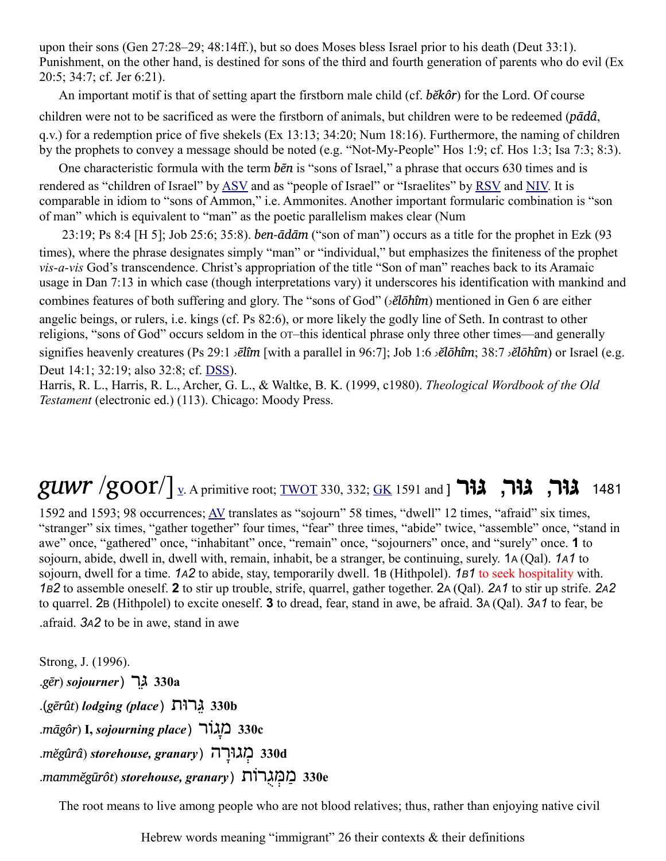upon their sons (Gen 27:28–29; 48:14ff.), but so does Moses bless Israel prior to his death (Deut 33:1). Punishment, on the other hand, is destined for sons of the third and fourth generation of parents who do evil (Ex 20:5; 34:7; cf. Jer 6:21).

An important motif is that of setting apart the firstborn male child (cf. *bĕkôr*) for the Lord. Of course

children were not to be sacrificed as were the firstborn of animals, but children were to be redeemed (*pādâ*, q.v.) for a redemption price of five shekels (Ex 13:13; 34:20; Num 18:16). Furthermore, the naming of children by the prophets to convey a message should be noted (e.g. "Not-My-People" Hos 1:9; cf. Hos 1:3; Isa 7:3; 8:3).

One characteristic formula with the term *bēn* is "sons of Israel," a phrase that occurs 630 times and is rendered as "children of Israel" by [ASV](#page-12-1) and as "people of Israel" or "Israelites" by [RSV](#page-12-0) and [NIV.](#page-13-3) It is comparable in idiom to "sons of Ammon," i.e. Ammonites. Another important formularic combination is "son of man" which is equivalent to "man" as the poetic parallelism makes clear (Num

 23:19; Ps 8:4 [H 5]; Job 25:6; 35:8). *ben-ādām* ("son of man") occurs as a title for the prophet in Ezk (93 times), where the phrase designates simply "man" or "individual," but emphasizes the finiteness of the prophet *vis-a-vis* God's transcendence. Christ's appropriation of the title "Son of man" reaches back to its Aramaic usage in Dan 7:13 in which case (though interpretations vary) it underscores his identification with mankind and combines features of both suffering and glory. The "sons of God" (*˒ĕlōhı̂m*) mentioned in Gen 6 are either angelic beings, or rulers, i.e. kings (cf. Ps 82:6), or more likely the godly line of Seth. In contrast to other religions, "sons of God" occurs seldom in the OT–this identical phrase only three other times—and generally signifies heavenly creatures (Ps 29:1 *¿ēlîm* [with a parallel in 96:7]; Job 1:6 *¿ĕlōhîm*; 38:7 *¿ělōhîm*) or Israel (e.g. Deut 14:1; 32:19; also 32:8; cf. [DSS\)](#page-13-2).

Harris, R. L., Harris, R. L., Archer, G. L., & Waltke, B. K. (1999, c1980). *Theological Wordbook of the Old Testament* (electronic ed.) (113). Chicago: Moody Press.

# *guwr* /goor/] [v.](#page-12-1) A primitive root; [TWOT](#page-12-0) 330, 332; [GK](#page-13-3) <sup>1591</sup> and ] גור ,גור ,גור <sup>1481</sup>

1592 and 1593; 98 occurrences; [AV](#page-13-2) translates as "sojourn" 58 times, "dwell" 12 times, "afraid" six times, "stranger" six times, "gather together" four times, "fear" three times, "abide" twice, "assemble" once, "stand in awe" once, "gathered" once, "inhabitant" once, "remain" once, "sojourners" once, and "surely" once. **1** to sojourn, abide, dwell in, dwell with, remain, inhabit, be a stranger, be continuing, surely. 1A (Qal). *1A1* to sojourn, dwell for a time. *1A2* to abide, stay, temporarily dwell. 1B (Hithpolel). *1B1* to seek hospitality with. *1B2* to assemble oneself. **2** to stir up trouble, strife, quarrel, gather together. 2A (Qal). *2A1* to stir up strife. *2A2* to quarrel. 2B (Hithpolel) to excite oneself. **3** to dread, fear, stand in awe, be afraid. 3A (Qal). *3A1* to fear, be .afraid. *3A2* to be in awe, stand in awe

Strong, J. (1996). .*gēr*) *sojourner*) כרָג **330a** .(*gērût*) *lodging (place* ) רות כָג **330b** .*māgôr*) **I,** *sojourning place*) מכגור **330c** .*mĕgûrâ*) *storehouse, granary* ) ה גורכ מר **330d e330** מָכ מר גק רות ( *granary ,storehouse*) *mammĕgūrôt*.

The root means to live among people who are not blood relatives; thus, rather than enjoying native civil

Hebrew words meaning "immigrant"  $26$  their contexts  $\&$  their definitions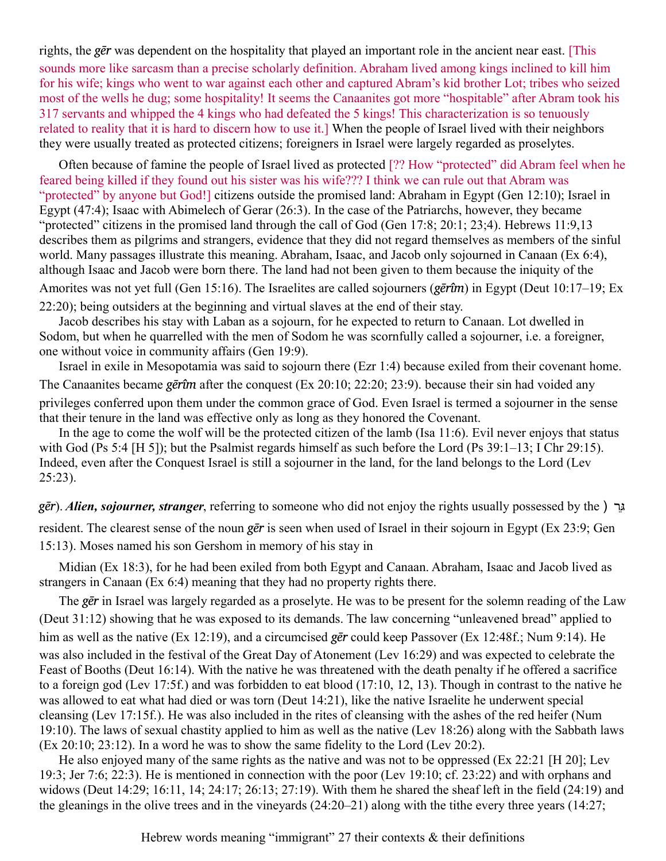rights, the *gēr* was dependent on the hospitality that played an important role in the ancient near east. [This sounds more like sarcasm than a precise scholarly definition. Abraham lived among kings inclined to kill him for his wife; kings who went to war against each other and captured Abram's kid brother Lot; tribes who seized most of the wells he dug; some hospitality! It seems the Canaanites got more "hospitable" after Abram took his 317 servants and whipped the 4 kings who had defeated the 5 kings! This characterization is so tenuously related to reality that it is hard to discern how to use it.] When the people of Israel lived with their neighbors they were usually treated as protected citizens; foreigners in Israel were largely regarded as proselytes.

Often because of famine the people of Israel lived as protected [?? How "protected" did Abram feel when he feared being killed if they found out his sister was his wife??? I think we can rule out that Abram was "protected" by anyone but God!] citizens outside the promised land: Abraham in Egypt (Gen 12:10); Israel in Egypt (47:4); Isaac with Abimelech of Gerar (26:3). In the case of the Patriarchs, however, they became "protected" citizens in the promised land through the call of God (Gen 17:8; 20:1; 23;4). Hebrews 11:9,13 describes them as pilgrims and strangers, evidence that they did not regard themselves as members of the sinful world. Many passages illustrate this meaning. Abraham, Isaac, and Jacob only sojourned in Canaan (Ex 6:4), although Isaac and Jacob were born there. The land had not been given to them because the iniquity of the Amorites was not yet full (Gen 15:16). The Israelites are called sojourners (*gērı̂m*) in Egypt (Deut 10:17–19; Ex 22:20); being outsiders at the beginning and virtual slaves at the end of their stay.

Jacob describes his stay with Laban as a sojourn, for he expected to return to Canaan. Lot dwelled in Sodom, but when he quarrelled with the men of Sodom he was scornfully called a sojourner, i.e. a foreigner, one without voice in community affairs (Gen 19:9).

Israel in exile in Mesopotamia was said to sojourn there (Ezr 1:4) because exiled from their covenant home. The Canaanites became *gērîm* after the conquest (Ex 20:10; 22:20; 23:9). because their sin had voided any privileges conferred upon them under the common grace of God. Even Israel is termed a sojourner in the sense that their tenure in the land was effective only as long as they honored the Covenant.

In the age to come the wolf will be the protected citizen of the lamb (Isa 11:6). Evil never enjoys that status with God (Ps 5:4 [H 5]); but the Psalmist regards himself as such before the Lord (Ps 39:1–13; I Chr 29:15). Indeed, even after the Conquest Israel is still a sojourner in the land, for the land belongs to the Lord (Lev 25:23).

*gēr*). *Alien, sojourner, stranger*, referring to someone who did not enjoy the rights usually possessed by the ) כרָג resident. The clearest sense of the noun *gēr* is seen when used of Israel in their sojourn in Egypt (Ex 23:9; Gen 15:13). Moses named his son Gershom in memory of his stay in

Midian (Ex 18:3), for he had been exiled from both Egypt and Canaan. Abraham, Isaac and Jacob lived as strangers in Canaan (Ex 6:4) meaning that they had no property rights there.

The *gēr* in Israel was largely regarded as a proselyte. He was to be present for the solemn reading of the Law (Deut 31:12) showing that he was exposed to its demands. The law concerning "unleavened bread" applied to him as well as the native (Ex 12:19), and a circumcised *gēr* could keep Passover (Ex 12:48f.; Num 9:14). He was also included in the festival of the Great Day of Atonement (Lev 16:29) and was expected to celebrate the Feast of Booths (Deut 16:14). With the native he was threatened with the death penalty if he offered a sacrifice to a foreign god (Lev 17:5f.) and was forbidden to eat blood (17:10, 12, 13). Though in contrast to the native he was allowed to eat what had died or was torn (Deut 14:21), like the native Israelite he underwent special cleansing (Lev 17:15f.). He was also included in the rites of cleansing with the ashes of the red heifer (Num 19:10). The laws of sexual chastity applied to him as well as the native (Lev 18:26) along with the Sabbath laws (Ex 20:10; 23:12). In a word he was to show the same fidelity to the Lord (Lev 20:2).

He also enjoyed many of the same rights as the native and was not to be oppressed (Ex 22:21 [H 20]; Lev 19:3; Jer 7:6; 22:3). He is mentioned in connection with the poor (Lev 19:10; cf. 23:22) and with orphans and widows (Deut 14:29; 16:11, 14; 24:17; 26:13; 27:19). With them he shared the sheaf left in the field (24:19) and the gleanings in the olive trees and in the vineyards (24:20–21) along with the tithe every three years (14:27;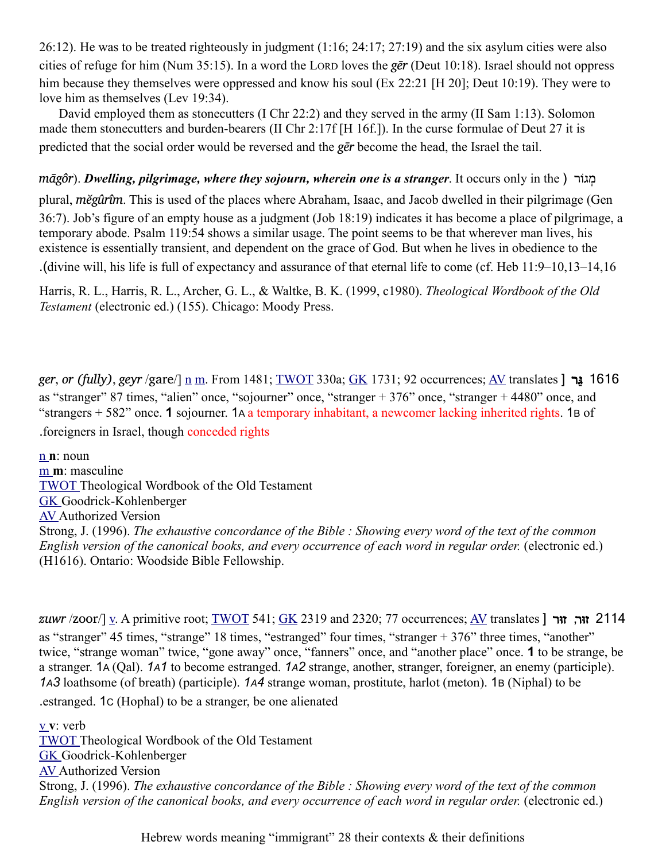26:12). He was to be treated righteously in judgment (1:16; 24:17; 27:19) and the six asylum cities were also cities of refuge for him (Num 35:15). In a word the LORD loves the *gēr* (Deut 10:18). Israel should not oppress him because they themselves were oppressed and know his soul (Ex 22:21 [H 20]; Deut 10:19). They were to love him as themselves (Lev 19:34).

David employed them as stonecutters (I Chr 22:2) and they served in the army (II Sam 1:13). Solomon made them stonecutters and burden-bearers (II Chr 2:17f [H 16f.]). In the curse formulae of Deut 27 it is predicted that the social order would be reversed and the *gēr* become the head, the Israel the tail.

# *māgôr*). *Dwelling, pilgrimage, where they sojourn, wherein one is a stranger*. It occurs only in the ) גור מכ

plural, *mĕgûrı̂m*. This is used of the places where Abraham, Isaac, and Jacob dwelled in their pilgrimage (Gen 36:7). Job's figure of an empty house as a judgment (Job 18:19) indicates it has become a place of pilgrimage, a temporary abode. Psalm 119:54 shows a similar usage. The point seems to be that wherever man lives, his existence is essentially transient, and dependent on the grace of God. But when he lives in obedience to the .(divine will, his life is full of expectancy and assurance of that eternal life to come (cf. Heb 11:9–10,13–14,16

Harris, R. L., Harris, R. L., Archer, G. L., & Waltke, B. K. (1999, c1980). *Theological Wordbook of the Old Testament* (electronic ed.) (155). Chicago: Moody Press.

*ger*, *or (fully)*, *geyr* /gare/] [n](#page-12-1) [m.](#page-12-0) From 1481; [TWOT](#page-13-3) 330a; [GK](#page-13-2) 1731; 92 occurrences; [AV](#page-13-1) translates ] ר כָג 1616 as "stranger" 87 times, "alien" once, "sojourner" once, "stranger + 376" once, "stranger + 4480" once, and "strangers + 582" once. **1** sojourner. 1A a temporary inhabitant, a newcomer lacking inherited rights. 1B of .foreigners in Israel, though conceded rights

[n](#page-2-1) **n**: noun [m](#page-2-0) m: masculine [TWOT T](#page-2-4)heological Wordbook of the Old Testament [GK G](#page-2-3)oodrick-Kohlenberger [AV A](#page-2-2)uthorized Version Strong, J. (1996). *The exhaustive concordance of the Bible : Showing every word of the text of the common English version of the canonical books, and every occurrence of each word in regular order.* (electronic ed.) (H1616). Ontario: Woodside Bible Fellowship.

*zuwr* /zoor/] *v.* A primitive root; [TWOT](#page-12-0) 541; [GK](#page-13-3) 2319 and 2320; 77 occurrences; [AV](#page-13-2) translates ] זור, זור 2114 as "stranger" 45 times, "strange" 18 times, "estranged" four times, "stranger + 376" three times, "another" twice, "strange woman" twice, "gone away" once, "fanners" once, and "another place" once. **1** to be strange, be a stranger. 1A (Qal). *1A1* to become estranged. *1A2* strange, another, stranger, foreigner, an enemy (participle). *1A3* loathsome (of breath) (participle). *1A4* strange woman, prostitute, harlot (meton). 1B (Niphal) to be .estranged. 1<sup>C</sup> (Hophal) to be a stranger, be one alienated

[v](#page-2-1) **v**: verb [TWOT T](#page-2-0)heological Wordbook of the Old Testament [GK G](#page-2-4)oodrick-Kohlenberger [AV A](#page-2-3)uthorized Version Strong, J. (1996). *The exhaustive concordance of the Bible : Showing every word of the text of the common English version of the canonical books, and every occurrence of each word in regular order.* (electronic ed.)

Hebrew words meaning "immigrant" 28 their contexts  $\&$  their definitions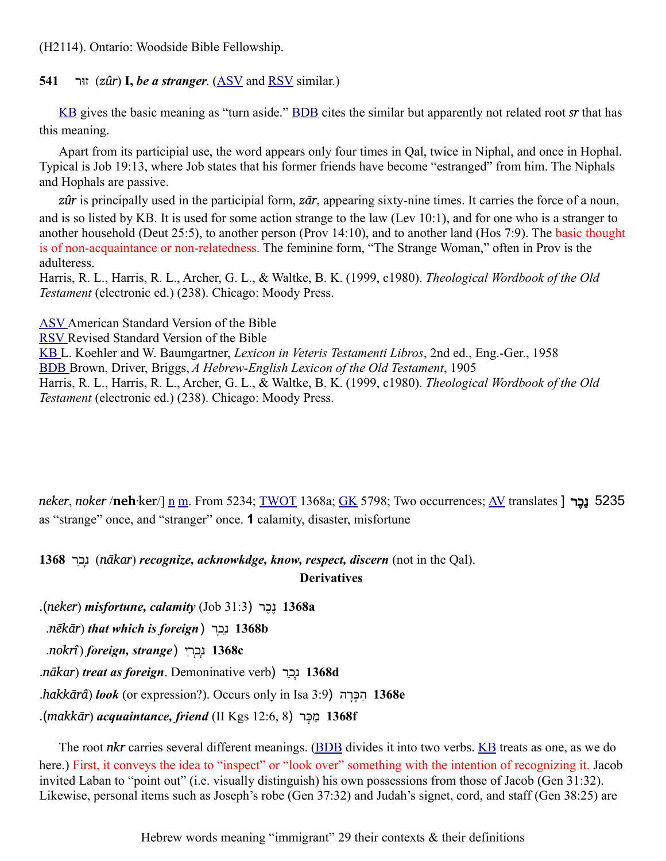(H2114). Ontario: Woodside Bible Fellowship.

**541** זור) *zûr*) **I,** *be a stranger*. [\(ASV](#page-12-1) and [RSV](#page-12-0) similar.)

[KB](#page-13-3) gives the basic meaning as "turn aside." [BDB](#page-13-2) cites the similar but apparently not related root *sr* that has this meaning.

Apart from its participial use, the word appears only four times in Qal, twice in Niphal, and once in Hophal. Typical is Job 19:13, where Job states that his former friends have become "estranged" from him. The Niphals and Hophals are passive.

*zûr* is principally used in the participial form, *zār*, appearing sixty-nine times. It carries the force of a noun, and is so listed by KB. It is used for some action strange to the law (Lev 10:1), and for one who is a stranger to another household (Deut 25:5), to another person (Prov 14:10), and to another land (Hos 7:9). The basic thought is of non-acquaintance or non-relatedness. The feminine form, "The Strange Woman," often in Prov is the adulteress.

Harris, R. L., Harris, R. L., Archer, G. L., & Waltke, B. K. (1999, c1980). *Theological Wordbook of the Old Testament* (electronic ed.) (238). Chicago: Moody Press.

[ASV A](#page-2-1)merican Standard Version of the Bible

[RSV R](#page-2-0)evised Standard Version of the Bible

[KB L](#page-2-4). Koehler and W. Baumgartner, *Lexicon in Veteris Testamenti Libros*, 2nd ed., Eng.-Ger., 1958

[BDB B](#page-2-3)rown, Driver, Briggs, *A Hebrew-English Lexicon of the Old Testament*, 1905

Harris, R. L., Harris, R. L., Archer, G. L., & Waltke, B. K. (1999, c1980). *Theological Wordbook of the Old Testament* (electronic ed.) (238). Chicago: Moody Press.

*neker*, *noker* /**neh**·ker/] [n](#page-12-1) [m.](#page-12-0) From 5234; [TWOT](#page-13-3) 1368a; [GK](#page-13-2) 5798; Two occurrences; [AV](#page-13-1) translates ] ר רכ כָנ 5235 as "strange" once, and "stranger" once. **1** calamity, disaster, misfortune

**1368** כרָנככ) *nākar*) *recognize, acknowkdge, know, respect, discern* (not in the Qal). **Derivatives**

**a1368** נר כר ר (31:3 Job (*calamity ,misfortune*) *neker*(.

.*nēkār*) *that which is foreign*) כככרָנ **1368b**

.*nokrı̂*) *foreign, strange*) נככרריי **1368c**

.*nākar*) *treat as foreign*. Demoninative verb) כרָנככ **1368d**

.*hakkārâ*) *look* (or expression?). Occurs only in Isa 3:9) ה רכ ככ כָה **1368e**

.(*makkār*) *acquaintance, friend* (II Kgs 12:6, 8) ר ככ כָמ **1368f**

The root *nkr* carries several different meanings. [\(BDB](#page-12-1) divides it into two verbs. [KB](#page-12-0) treats as one, as we do here.) First, it conveys the idea to "inspect" or "look over" something with the intention of recognizing it. Jacob invited Laban to "point out" (i.e. visually distinguish) his own possessions from those of Jacob (Gen 31:32). Likewise, personal items such as Joseph's robe (Gen 37:32) and Judah's signet, cord, and staff (Gen 38:25) are

Hebrew words meaning "immigrant" 29 their contexts  $\&$  their definitions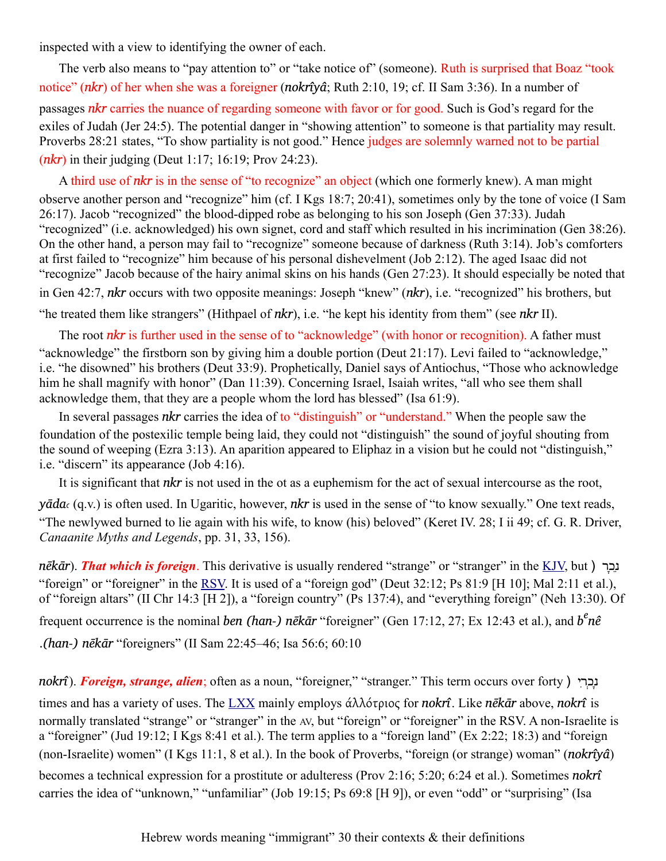inspected with a view to identifying the owner of each.

The verb also means to "pay attention to" or "take notice of" (someone). Ruth is surprised that Boaz "took notice" (*nkr*) of her when she was a foreigner (*nokrı̂yâ*; Ruth 2:10, 19; cf. II Sam 3:36). In a number of passages *nkr* carries the nuance of regarding someone with favor or for good. Such is God's regard for the exiles of Judah (Jer 24:5). The potential danger in "showing attention" to someone is that partiality may result. Proverbs 28:21 states, "To show partiality is not good." Hence judges are solemnly warned not to be partial (*nkr*) in their judging (Deut 1:17; 16:19; Prov 24:23).

A third use of *nkr* is in the sense of "to recognize" an object (which one formerly knew). A man might observe another person and "recognize" him (cf. I Kgs 18:7; 20:41), sometimes only by the tone of voice (I Sam 26:17). Jacob "recognized" the blood-dipped robe as belonging to his son Joseph (Gen 37:33). Judah "recognized" (i.e. acknowledged) his own signet, cord and staff which resulted in his incrimination (Gen 38:26). On the other hand, a person may fail to "recognize" someone because of darkness (Ruth 3:14). Job's comforters at first failed to "recognize" him because of his personal dishevelment (Job 2:12). The aged Isaac did not "recognize" Jacob because of the hairy animal skins on his hands (Gen 27:23). It should especially be noted that in Gen 42:7, *nkr* occurs with two opposite meanings: Joseph "knew" (*nkr*), i.e. "recognized" his brothers, but "he treated them like strangers" (Hithpael of *nkr*), i.e. "he kept his identity from them" (see *nkr* II).

The root *nkr* is further used in the sense of to "acknowledge" (with honor or recognition). A father must "acknowledge" the firstborn son by giving him a double portion (Deut 21:17). Levi failed to "acknowledge," i.e. "he disowned" his brothers (Deut 33:9). Prophetically, Daniel says of Antiochus, "Those who acknowledge him he shall magnify with honor" (Dan 11:39). Concerning Israel, Isaiah writes, "all who see them shall acknowledge them, that they are a people whom the lord has blessed" (Isa 61:9).

In several passages *nkr* carries the idea of to "distinguish" or "understand." When the people saw the foundation of the postexilic temple being laid, they could not "distinguish" the sound of joyful shouting from the sound of weeping (Ezra 3:13). An aparition appeared to Eliphaz in a vision but he could not "distinguish," i.e. "discern" its appearance (Job 4:16).

It is significant that *nkr* is not used in the ot as a euphemism for the act of sexual intercourse as the root,

*yāda*<sup> $\alpha$ </sup> (q.v.) is often used. In Ugaritic, however, *nkr* is used in the sense of "to know sexually." One text reads, "The newlywed burned to lie again with his wife, to know (his) beloved" (Keret IV. 28; I ii 49; cf. G. R. Driver, *Canaanite Myths and Legends*, pp. 31, 33, 156).

*nēkār*). *That which is foreign*. This derivative is usually rendered "strange" or "stranger" in the [KJV,](#page-13-3) but ) כככרָנ "foreign" or "foreigner" in the [RSV.](#page-13-2) It is used of a "foreign god" (Deut 32:12; Ps 81:9 [H 10]; Mal 2:11 et al.), of "foreign altars" (II Chr 14:3 [H 2]), a "foreign country" (Ps 137:4), and "everything foreign" (Neh 13:30). Of frequent occurrence is the nominal *ben (han-) nēkār* "foreigner" (Gen 17:12, 27; Ex 12:43 et al.), and  $b^e n\hat{e}$ .*(han-) nēkār* "foreigners" (II Sam 22:45–46; Isa 56:6; 60:10

*nokrı̂*). *Foreign, strange, alien*; often as a noun, "foreigner," "stranger." This term occurs over forty ) נככרריי times and has a variety of uses. The [LXX](#page-13-1) mainly employs άλλότριος for *nokrı̂*. Like *nēkār* above, *nokrı̂*is normally translated "strange" or "stranger" in the AV, but "foreign" or "foreigner" in the RSV. A non-Israelite is a "foreigner" (Jud 19:12; I Kgs 8:41 et al.). The term applies to a "foreign land" (Ex 2:22; 18:3) and "foreign (non-Israelite) women" (I Kgs 11:1, 8 et al.). In the book of Proverbs, "foreign (or strange) woman" (*nokrı̂yâ*) becomes a technical expression for a prostitute or adulteress (Prov 2:16; 5:20; 6:24 et al.). Sometimes *nokrı̂* carries the idea of "unknown," "unfamiliar" (Job 19:15; Ps 69:8 [H 9]), or even "odd" or "surprising" (Isa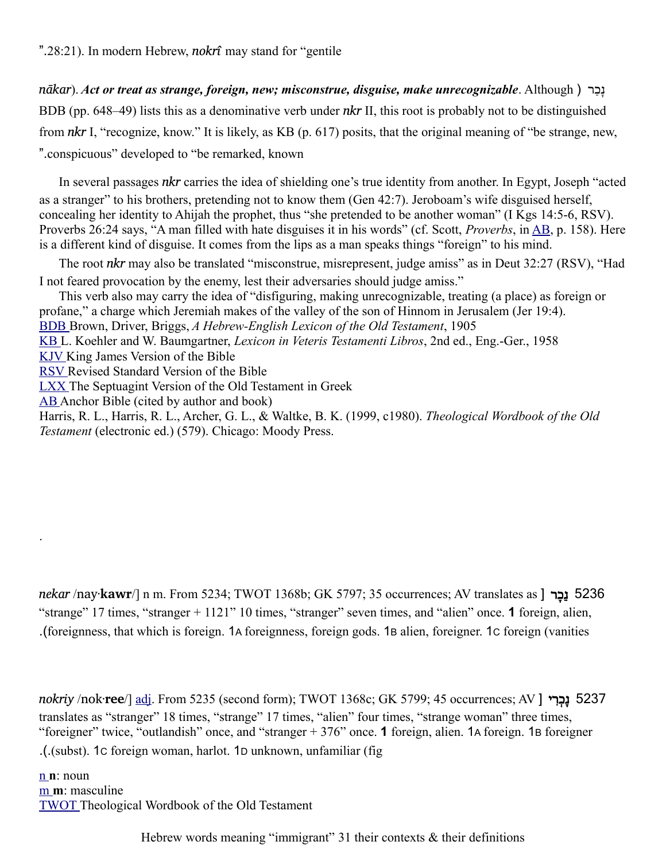*nākar*). *Act or treat as strange, foreign, new; misconstrue, disguise, make unrecognizable*. Although ) נָכַר BDB (pp. 648–49) lists this as a denominative verb under *nkr* II, this root is probably not to be distinguished from *nkr* I, "recognize, know." It is likely, as KB (p. 617) posits, that the original meaning of "be strange, new, ".conspicuous" developed to "be remarked, known

In several passages *nkr* carries the idea of shielding one's true identity from another. In Egypt, Joseph "acted as a stranger" to his brothers, pretending not to know them (Gen 42:7). Jeroboam's wife disguised herself, concealing her identity to Ahijah the prophet, thus "she pretended to be another woman" (I Kgs 14:5-6, RSV). Proverbs 26:24 says, "A man filled with hate disguises it in his words" (cf. Scott, *Proverbs*, in [AB,](#page-13-0) p. 158). Here is a different kind of disguise. It comes from the lips as a man speaks things "foreign" to his mind.

The root *nkr* may also be translated "misconstrue, misrepresent, judge amiss" as in Deut 32:27 (RSV), "Had I not feared provocation by the enemy, lest their adversaries should judge amiss."

This verb also may carry the idea of "disfiguring, making unrecognizable, treating (a place) as foreign or profane," a charge which Jeremiah makes of the valley of the son of Hinnom in Jerusalem (Jer 19:4). [BDB B](#page-2-1)rown, Driver, Briggs, *A Hebrew-English Lexicon of the Old Testament*, 1905 [KB L](#page-2-0). Koehler and W. Baumgartner, *Lexicon in Veteris Testamenti Libros*, 2nd ed., Eng.-Ger., 1958 [KJV K](#page-2-4)ing James Version of the Bible [RSV R](#page-2-3)evised Standard Version of the Bible [LXX T](#page-2-2)he Septuagint Version of the Old Testament in Greek [AB A](#page-1-0)nchor Bible (cited by author and book) Harris, R. L., Harris, R. L., Archer, G. L., & Waltke, B. K. (1999, c1980). *Theological Wordbook of the Old Testament* (electronic ed.) (579). Chicago: Moody Press.

*nekar* /nay·**kawr**/] n m. From 5234; TWOT 1368b; GK 5797; 35 occurrences; AV translates as ] ר ככ כָנ 5236 "strange" 17 times, "stranger + 1121" 10 times, "stranger" seven times, and "alien" once. **1** foreign, alien, .(foreignness, that which is foreign. 1<sup>A</sup> foreignness, foreign gods. 1<sup>B</sup> alien, foreigner. 1<sup>C</sup> foreign (vanities

*nokriy* /nok·**ree**/] [adj.](#page-13-0) From 5235 (second form); TWOT 1368c; GK 5799; 45 occurrences; AV ] י רי כר נכ 5237 translates as "stranger" 18 times, "strange" 17 times, "alien" four times, "strange woman" three times, "foreigner" twice, "outlandish" once, and "stranger + 376" once. **1** foreign, alien. 1A foreign. 1B foreigner .(.(subst). 1<sup>C</sup> foreign woman, harlot. 1<sup>D</sup> unknown, unfamiliar (fig

[n](#page-2-1) **n**: noun [m](#page-2-0) **m**: masculine [TWOT T](#page-2-4)heological Wordbook of the Old Testament

.

Hebrew words meaning "immigrant" 31 their contexts  $\&$  their definitions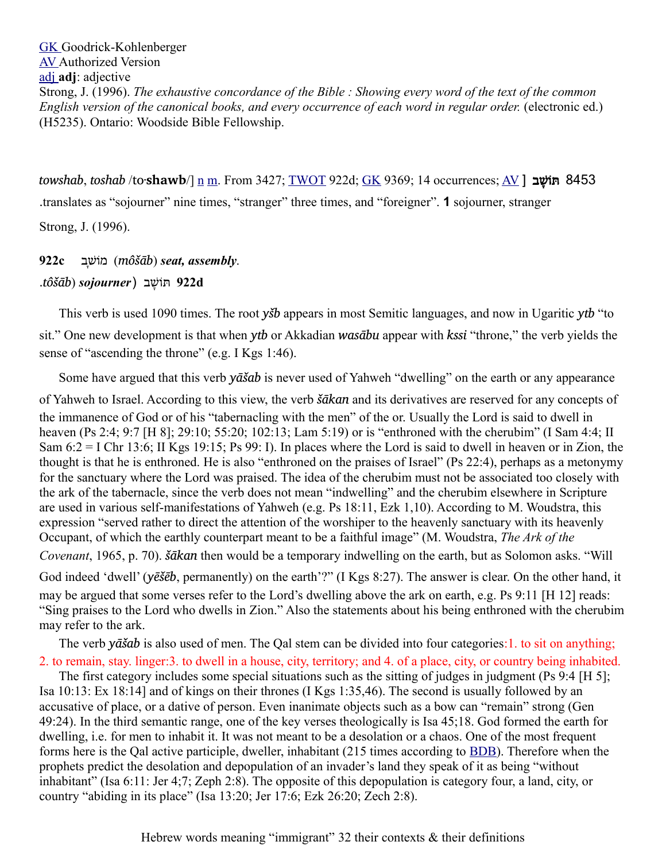[GK G](#page-2-3)oodrick-Kohlenberger [AV A](#page-2-2)uthorized Version [adj](#page-1-0) **adj**: adjective Strong, J. (1996). *The exhaustive concordance of the Bible : Showing every word of the text of the common English version of the canonical books, and every occurrence of each word in regular order.* (electronic ed.) (H5235). Ontario: Woodside Bible Fellowship.

*towshab*, *toshab* /to·**shawb**/] [n](#page-12-1) [m.](#page-12-0) From 3427; [TWOT](#page-13-3) 922d; [GK](#page-13-2) 9369; 14 occurrences; [AV](#page-13-1) ] ב תושכ 8453 .translates as "sojourner" nine times, "stranger" three times, and "foreigner". **1** sojourner, stranger Strong, J. (1996).

# **922c** מושכב) *môšāb*) *seat, assembly*. .*tôšāb*) *sojourner*) ב תושכ **922d**

This verb is used 1090 times. The root *yšb* appears in most Semitic languages, and now in Ugaritic *ytb* "to sit." One new development is that when *ytb* or Akkadian *wasābu* appear with *kssi* "throne," the verb yields the sense of "ascending the throne" (e.g. I Kgs 1:46).

Some have argued that this verb *yāšab* is never used of Yahweh "dwelling" on the earth or any appearance

of Yahweh to Israel. According to this view, the verb *šākan* and its derivatives are reserved for any concepts of the immanence of God or of his "tabernacling with the men" of the or. Usually the Lord is said to dwell in heaven (Ps 2:4; 9:7 [H 8]; 29:10; 55:20; 102:13; Lam 5:19) or is "enthroned with the cherubim" (I Sam 4:4; II Sam 6:2 = I Chr 13:6; II Kgs 19:15; Ps 99: I). In places where the Lord is said to dwell in heaven or in Zion, the thought is that he is enthroned. He is also "enthroned on the praises of Israel" (Ps 22:4), perhaps as a metonymy for the sanctuary where the Lord was praised. The idea of the cherubim must not be associated too closely with the ark of the tabernacle, since the verb does not mean "indwelling" and the cherubim elsewhere in Scripture are used in various self-manifestations of Yahweh (e.g. Ps 18:11, Ezk 1,10). According to M. Woudstra, this expression "served rather to direct the attention of the worshiper to the heavenly sanctuary with its heavenly Occupant, of which the earthly counterpart meant to be a faithful image" (M. Woudstra, *The Ark of the Covenant*, 1965, p. 70). *šākan* then would be a temporary indwelling on the earth, but as Solomon asks. "Will God indeed 'dwell' (*yēšēb*, permanently) on the earth'?" (I Kgs 8:27). The answer is clear. On the other hand, it may be argued that some verses refer to the Lord's dwelling above the ark on earth, e.g. Ps 9:11 [H 12] reads: "Sing praises to the Lord who dwells in Zion." Also the statements about his being enthroned with the cherubim may refer to the ark.

The verb *yāšab* is also used of men. The Qal stem can be divided into four categories:1. to sit on anything; 2. to remain, stay. linger:3. to dwell in a house, city, territory; and 4. of a place, city, or country being inhabited.

The first category includes some special situations such as the sitting of judges in judgment (Ps 9:4 [H 5]; Isa 10:13: Ex 18:14] and of kings on their thrones (I Kgs 1:35,46). The second is usually followed by an accusative of place, or a dative of person. Even inanimate objects such as a bow can "remain" strong (Gen 49:24). In the third semantic range, one of the key verses theologically is Isa 45;18. God formed the earth for dwelling, i.e. for men to inhabit it. It was not meant to be a desolation or a chaos. One of the most frequent forms here is the Qal active participle, dweller, inhabitant (215 times according to [BDB\)](#page-12-1). Therefore when the prophets predict the desolation and depopulation of an invader's land they speak of it as being "without inhabitant" (Isa 6:11: Jer 4;7; Zeph 2:8). The opposite of this depopulation is category four, a land, city, or country "abiding in its place" (Isa 13:20; Jer 17:6; Ezk 26:20; Zech 2:8).